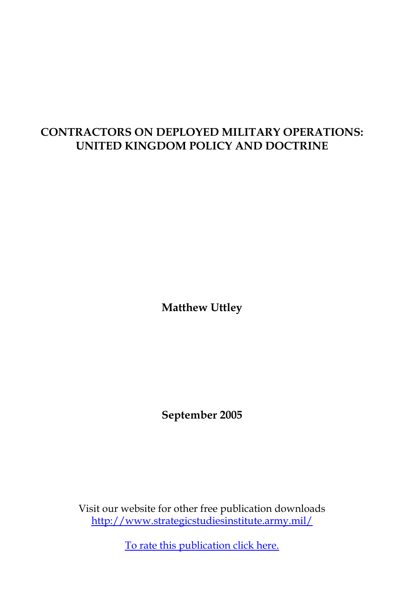# **CONTRACTORS ON DEPLOYED MILITARY OPERATIONS: UNITED KINGDOM POLICY AND DOCTRINE**

**Matthew Uttley**

**September 2005**

Visit our website for other free publication downloads [http://www.strategicstudiesinstitute.army.mil/](http://www.strategicstudiesinstitute.army.mil)

[To rate this publication click here.](http://www.strategicstudiesinstitute.army.mil/pubs/display.cfm?pubID=624)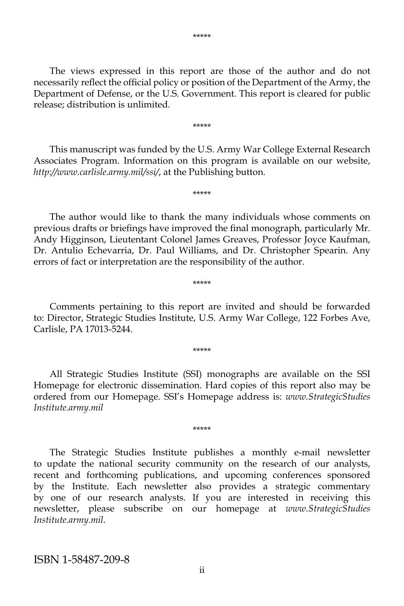The views expressed in this report are those of the author and do not necessarily reflect the official policy or position of the Department of the Army, the Department of Defense, or the U.S. Government. This report is cleared for public release; distribution is unlimited.

 This manuscript was funded by the U.S. Army War College External Research Associates Program. Information on this program is available on our website, *http://www.carlisle.army.mil/ssi/*, at the Publishing button.

\*\*\*\*\*

\*\*\*\*\*

 The author would like to thank the many individuals whose comments on previous drafts or briefings have improved the final monograph, particularly Mr. Andy Higginson, Lieutentant Colonel James Greaves, Professor Joyce Kaufman, Dr. Antulio Echevarria, Dr. Paul Williams, and Dr. Christopher Spearin. Any errors of fact or interpretation are the responsibility of the author.

#### Comments pertaining to this report are invited and should be forwarded to: Director, Strategic Studies Institute, U.S. Army War College, 122 Forbes Ave, Carlisle, PA 17013-5244.

\*\*\*\*\*

\*\*\*\*\*

 All Strategic Studies Institute (SSI) monographs are available on the SSI Homepage for electronic dissemination. Hard copies of this report also may be ordered from our Homepage. SSI's Homepage address is: *www.StrategicStudies Institute.army.mil*

\*\*\*\*\*

 The Strategic Studies Institute publishes a monthly e-mail newsletter to update the national security community on the research of our analysts, recent and forthcoming publications, and upcoming conferences sponsored by the Institute. Each newsletter also provides a strategic commentary by one of our research analysts. If you are interested in receiving this newsletter, please subscribe on our homepage at *www.StrategicStudies Institute.army.mil*.

ISBN 1-58487-209-8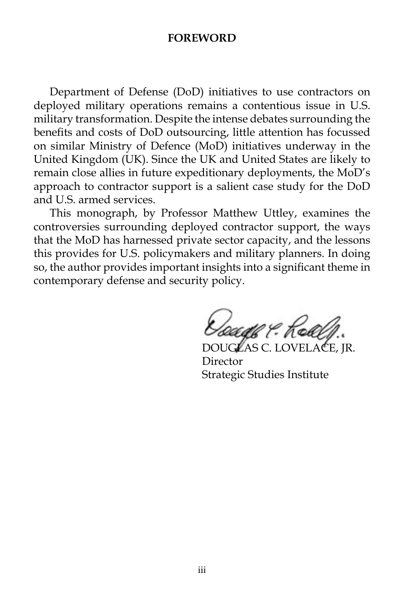#### **FOREWORD**

 Department of Defense (DoD) initiatives to use contractors on deployed military operations remains a contentious issue in U.S. military transformation. Despite the intense debates surrounding the benefits and costs of DoD outsourcing, little attention has focussed on similar Ministry of Defence (MoD) initiatives underway in the United Kingdom (UK). Since the UK and United States are likely to remain close allies in future expeditionary deployments, the MoD's approach to contractor support is a salient case study for the DoD and U.S. armed services.

 This monograph, by Professor Matthew Uttley, examines the controversies surrounding deployed contractor support, the ways that the MoD has harnessed private sector capacity, and the lessons this provides for U.S. policymakers and military planners. In doing so, the author provides important insights into a significant theme in contemporary defense and security policy.

Koade & Rea

DOUGLAS C. LOVELACE, JR. Director Strategic Studies Institute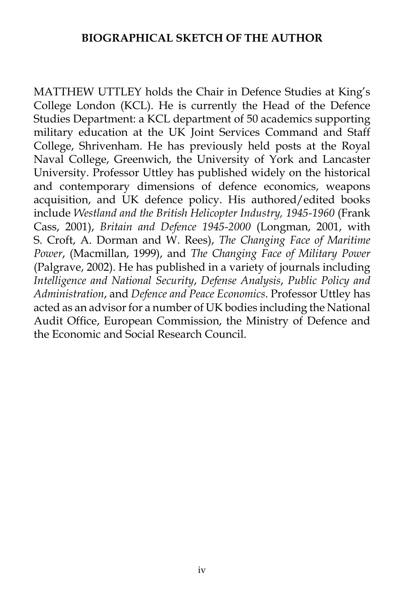#### **BIOGRAPHICAL SKETCH OF THE AUTHOR**

MATTHEW UTTLEY holds the Chair in Defence Studies at King's College London (KCL). He is currently the Head of the Defence Studies Department: a KCL department of 50 academics supporting military education at the UK Joint Services Command and Staff College, Shrivenham. He has previously held posts at the Royal Naval College, Greenwich, the University of York and Lancaster University. Professor Uttley has published widely on the historical and contemporary dimensions of defence economics, weapons acquisition, and UK defence policy. His authored/edited books include *Westland and the British Helicopter Industry, 1945-1960* (Frank Cass, 2001), *Britain and Defence 1945-2000* (Longman, 2001, with S. Croft, A. Dorman and W. Rees), *The Changing Face of Maritime Power*, (Macmillan, 1999), and *The Changing Face of Military Power* (Palgrave, 2002). He has published in a variety of journals including *Intelligence and National Security*, *Defense Analysis*, *Public Policy and Administration*, and *Defence and Peace Economics*. Professor Uttley has acted as an advisor for a number of UK bodies including the National Audit Office, European Commission, the Ministry of Defence and the Economic and Social Research Council.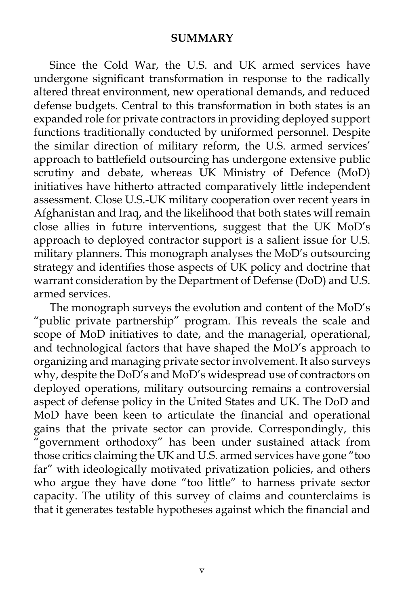#### **SUMMARY**

 Since the Cold War, the U.S. and UK armed services have undergone significant transformation in response to the radically altered threat environment, new operational demands, and reduced defense budgets. Central to this transformation in both states is an expanded role for private contractors in providing deployed support functions traditionally conducted by uniformed personnel. Despite the similar direction of military reform, the U.S. armed services' approach to battlefield outsourcing has undergone extensive public scrutiny and debate, whereas UK Ministry of Defence (MoD) initiatives have hitherto attracted comparatively little independent assessment. Close U.S.-UK military cooperation over recent years in Afghanistan and Iraq, and the likelihood that both states will remain close allies in future interventions, suggest that the UK MoD's approach to deployed contractor support is a salient issue for U.S. military planners. This monograph analyses the MoD's outsourcing strategy and identifies those aspects of UK policy and doctrine that warrant consideration by the Department of Defense (DoD) and U.S. armed services.

 The monograph surveys the evolution and content of the MoD's "public private partnership" program. This reveals the scale and scope of MoD initiatives to date, and the managerial, operational, and technological factors that have shaped the MoD's approach to organizing and managing private sector involvement. It also surveys why, despite the DoD's and MoD's widespread use of contractors on deployed operations, military outsourcing remains a controversial aspect of defense policy in the United States and UK. The DoD and MoD have been keen to articulate the financial and operational gains that the private sector can provide. Correspondingly, this "government orthodoxy" has been under sustained attack from those critics claiming the UK and U.S. armed services have gone "too far" with ideologically motivated privatization policies, and others who argue they have done "too little" to harness private sector capacity. The utility of this survey of claims and counterclaims is that it generates testable hypotheses against which the financial and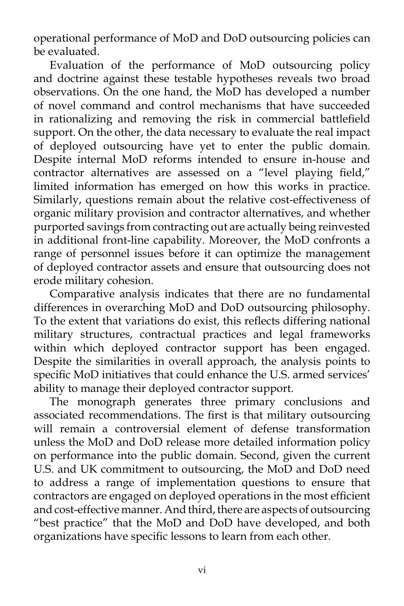operational performance of MoD and DoD outsourcing policies can be evaluated.

 Evaluation of the performance of MoD outsourcing policy and doctrine against these testable hypotheses reveals two broad observations. On the one hand, the MoD has developed a number of novel command and control mechanisms that have succeeded in rationalizing and removing the risk in commercial battlefield support. On the other, the data necessary to evaluate the real impact of deployed outsourcing have yet to enter the public domain. Despite internal MoD reforms intended to ensure in-house and contractor alternatives are assessed on a "level playing field," limited information has emerged on how this works in practice. Similarly, questions remain about the relative cost-effectiveness of organic military provision and contractor alternatives, and whether purported savings from contracting out are actually being reinvested in additional front-line capability. Moreover, the MoD confronts a range of personnel issues before it can optimize the management of deployed contractor assets and ensure that outsourcing does not erode military cohesion.

 Comparative analysis indicates that there are no fundamental differences in overarching MoD and DoD outsourcing philosophy. To the extent that variations do exist, this reflects differing national military structures, contractual practices and legal frameworks within which deployed contractor support has been engaged. Despite the similarities in overall approach, the analysis points to specific MoD initiatives that could enhance the U.S. armed services' ability to manage their deployed contractor support.

 The monograph generates three primary conclusions and associated recommendations. The first is that military outsourcing will remain a controversial element of defense transformation unless the MoD and DoD release more detailed information policy on performance into the public domain. Second, given the current U.S. and UK commitment to outsourcing, the MoD and DoD need to address a range of implementation questions to ensure that contractors are engaged on deployed operations in the most efficient and cost-effective manner. And third, there are aspects of outsourcing "best practice" that the MoD and DoD have developed, and both organizations have specific lessons to learn from each other.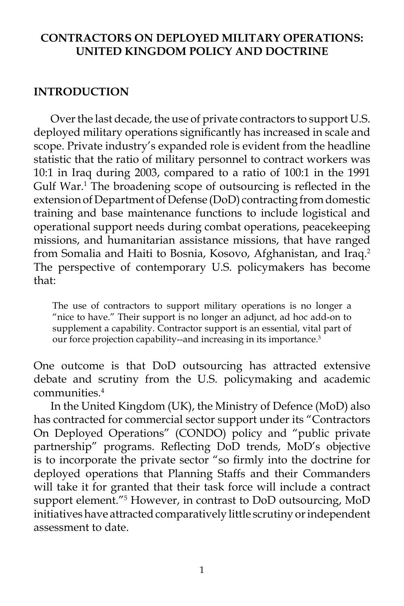#### **CONTRACTORS ON DEPLOYED MILITARY OPERATIONS: UNITED KINGDOM POLICY AND DOCTRINE**

#### **INTRODUCTION**

 Over the last decade, the use of private contractors to support U.S. deployed military operations significantly has increased in scale and scope. Private industry's expanded role is evident from the headline statistic that the ratio of military personnel to contract workers was 10:1 in Iraq during 2003, compared to a ratio of 100:1 in the 1991 Gulf War.<sup>1</sup> The broadening scope of outsourcing is reflected in the extension of Department of Defense (DoD) contracting from domestic training and base maintenance functions to include logistical and operational support needs during combat operations, peacekeeping missions, and humanitarian assistance missions, that have ranged from Somalia and Haiti to Bosnia, Kosovo, Afghanistan, and Iraq.<sup>2</sup> The perspective of contemporary U.S. policymakers has become that:

The use of contractors to support military operations is no longer a "nice to have." Their support is no longer an adjunct, ad hoc add-on to supplement a capability. Contractor support is an essential, vital part of our force projection capability--and increasing in its importance.<sup>3</sup>

One outcome is that DoD outsourcing has attracted extensive debate and scrutiny from the U.S. policymaking and academic communities.4

 In the United Kingdom (UK), the Ministry of Defence (MoD) also has contracted for commercial sector support under its "Contractors On Deployed Operations" (CONDO) policy and "public private partnership" programs. Reflecting DoD trends, MoD's objective is to incorporate the private sector "so firmly into the doctrine for deployed operations that Planning Staffs and their Commanders will take it for granted that their task force will include a contract support element."5 However, in contrast to DoD outsourcing, MoD initiatives have attracted comparatively little scrutiny or independent assessment to date.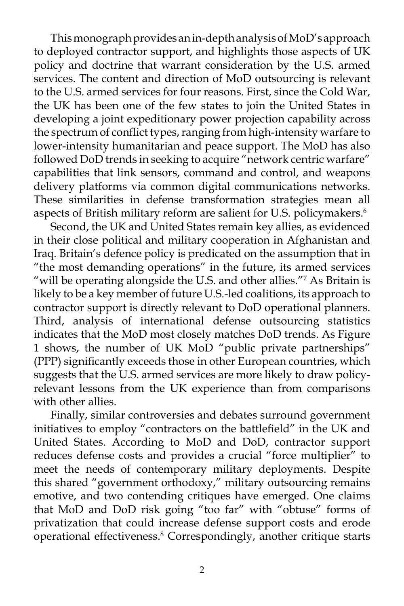This monograph provides an in-depth analysis of MoD's approach to deployed contractor support, and highlights those aspects of UK policy and doctrine that warrant consideration by the U.S. armed services. The content and direction of MoD outsourcing is relevant to the U.S. armed services for four reasons. First, since the Cold War, the UK has been one of the few states to join the United States in developing a joint expeditionary power projection capability across the spectrum of conflict types, ranging from high-intensity warfare to lower-intensity humanitarian and peace support. The MoD has also followed DoD trends in seeking to acquire "network centric warfare" capabilities that link sensors, command and control, and weapons delivery platforms via common digital communications networks. These similarities in defense transformation strategies mean all aspects of British military reform are salient for U.S. policymakers.<sup>6</sup>

 Second, the UK and United States remain key allies, as evidenced in their close political and military cooperation in Afghanistan and Iraq. Britain's defence policy is predicated on the assumption that in "the most demanding operations" in the future, its armed services "will be operating alongside the U.S. and other allies."7 As Britain is likely to be a key member of future U.S.-led coalitions, its approach to contractor support is directly relevant to DoD operational planners. Third, analysis of international defense outsourcing statistics indicates that the MoD most closely matches DoD trends. As Figure 1 shows, the number of UK MoD "public private partnerships" (PPP) significantly exceeds those in other European countries, which suggests that the U.S. armed services are more likely to draw policyrelevant lessons from the UK experience than from comparisons with other allies.

 Finally, similar controversies and debates surround government initiatives to employ "contractors on the battlefield" in the UK and United States. According to MoD and DoD, contractor support reduces defense costs and provides a crucial "force multiplier" to meet the needs of contemporary military deployments. Despite this shared "government orthodoxy," military outsourcing remains emotive, and two contending critiques have emerged. One claims that MoD and DoD risk going "too far" with "obtuse" forms of privatization that could increase defense support costs and erode operational effectiveness.8 Correspondingly, another critique starts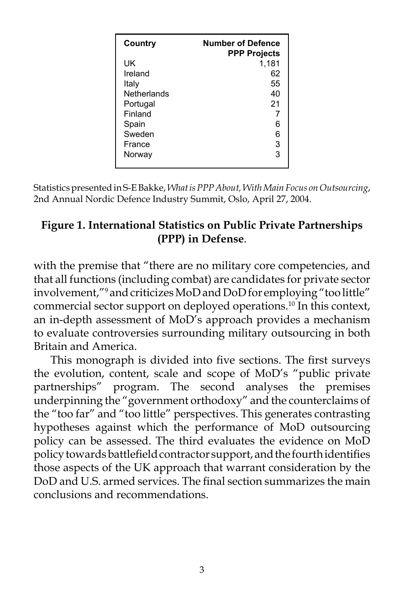| <b>Number of Defence</b><br><b>PPP Projects</b> |
|-------------------------------------------------|
| 1,181                                           |
| 62                                              |
| 55                                              |
| 40                                              |
| 21                                              |
| 7                                               |
| 6                                               |
| 6                                               |
| 3                                               |
| 3                                               |
|                                                 |

Statistics presented in S-E Bakke, *What is PPP About, With Main Focus on Outsourcing*, 2nd Annual Nordic Defence Industry Summit, Oslo, April 27, 2004.

## **Figure 1. International Statistics on Public Private Partnerships (PPP) in Defense**.

with the premise that "there are no military core competencies, and that all functions (including combat) are candidates for private sector involvement,"9 and criticizes MoD and DoD for employing "too little" commercial sector support on deployed operations.10 In this context, an in-depth assessment of MoD's approach provides a mechanism to evaluate controversies surrounding military outsourcing in both Britain and America.

 This monograph is divided into five sections. The first surveys the evolution, content, scale and scope of MoD's "public private partnerships" program. The second analyses the premises underpinning the "government orthodoxy" and the counterclaims of the "too far" and "too little" perspectives. This generates contrasting hypotheses against which the performance of MoD outsourcing policy can be assessed. The third evaluates the evidence on MoD policy towards battlefield contractor support, and the fourth identifies those aspects of the UK approach that warrant consideration by the DoD and U.S. armed services. The final section summarizes the main conclusions and recommendations.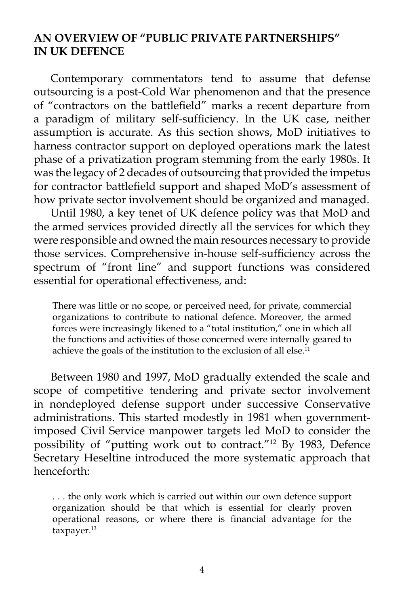#### **AN OVERVIEW OF "PUBLIC PRIVATE PARTNERSHIPS" IN UK DEFENCE**

 Contemporary commentators tend to assume that defense outsourcing is a post-Cold War phenomenon and that the presence of "contractors on the battlefield" marks a recent departure from a paradigm of military self-sufficiency. In the UK case, neither assumption is accurate. As this section shows, MoD initiatives to harness contractor support on deployed operations mark the latest phase of a privatization program stemming from the early 1980s. It was the legacy of 2 decades of outsourcing that provided the impetus for contractor battlefield support and shaped MoD's assessment of how private sector involvement should be organized and managed.

 Until 1980, a key tenet of UK defence policy was that MoD and the armed services provided directly all the services for which they were responsible and owned the main resources necessary to provide those services. Comprehensive in-house self-sufficiency across the spectrum of "front line" and support functions was considered essential for operational effectiveness, and:

There was little or no scope, or perceived need, for private, commercial organizations to contribute to national defence. Moreover, the armed forces were increasingly likened to a "total institution," one in which all the functions and activities of those concerned were internally geared to achieve the goals of the institution to the exclusion of all else. $^{11}$ 

 Between 1980 and 1997, MoD gradually extended the scale and scope of competitive tendering and private sector involvement in nondeployed defense support under successive Conservative administrations. This started modestly in 1981 when governmentimposed Civil Service manpower targets led MoD to consider the possibility of "putting work out to contract."12 By 1983, Defence Secretary Heseltine introduced the more systematic approach that henceforth:

. . . the only work which is carried out within our own defence support organization should be that which is essential for clearly proven operational reasons, or where there is financial advantage for the taxpayer.<sup>13</sup>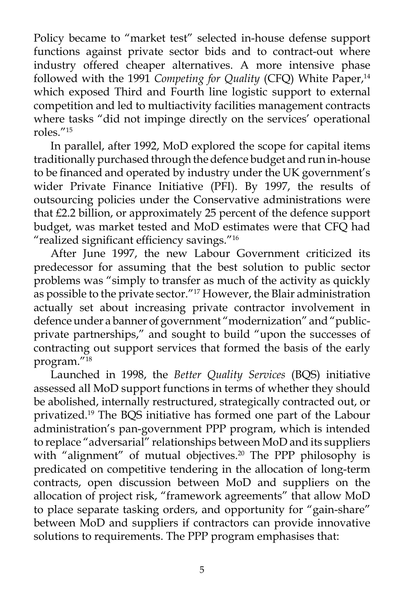Policy became to "market test" selected in-house defense support functions against private sector bids and to contract-out where industry offered cheaper alternatives. A more intensive phase followed with the 1991 Competing for Quality (CFQ) White Paper,<sup>14</sup> which exposed Third and Fourth line logistic support to external competition and led to multiactivity facilities management contracts where tasks "did not impinge directly on the services' operational roles."15

 In parallel, after 1992, MoD explored the scope for capital items traditionally purchased through the defence budget and run in-house to be financed and operated by industry under the UK government's wider Private Finance Initiative (PFI). By 1997, the results of outsourcing policies under the Conservative administrations were that £2.2 billion, or approximately 25 percent of the defence support budget, was market tested and MoD estimates were that CFQ had "realized significant efficiency savings."16

 After June 1997, the new Labour Government criticized its predecessor for assuming that the best solution to public sector problems was "simply to transfer as much of the activity as quickly as possible to the private sector."17 However, the Blair administration actually set about increasing private contractor involvement in defence under a banner of government "modernization" and "publicprivate partnerships," and sought to build "upon the successes of contracting out support services that formed the basis of the early program."18

 Launched in 1998, the *Better Quality Services* (BQS) initiative assessed all MoD support functions in terms of whether they should be abolished, internally restructured, strategically contracted out, or privatized.19 The BQS initiative has formed one part of the Labour administration's pan-government PPP program, which is intended to replace "adversarial" relationships between MoD and its suppliers with "alignment" of mutual objectives.<sup>20</sup> The PPP philosophy is predicated on competitive tendering in the allocation of long-term contracts, open discussion between MoD and suppliers on the allocation of project risk, "framework agreements" that allow MoD to place separate tasking orders, and opportunity for "gain-share" between MoD and suppliers if contractors can provide innovative solutions to requirements. The PPP program emphasises that: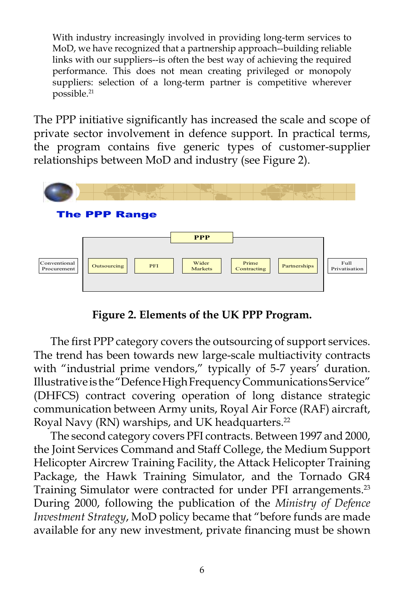With industry increasingly involved in providing long-term services to MoD, we have recognized that a partnership approach--building reliable links with our suppliers--is often the best way of achieving the required performance. This does not mean creating privileged or monopoly suppliers: selection of a long-term partner is competitive wherever possible.21

The PPP initiative significantly has increased the scale and scope of private sector involvement in defence support. In practical terms, the program contains five generic types of customer-supplier relationships between MoD and industry (see Figure 2).



**Figure 2. Elements of the UK PPP Program.**

 The first PPP category covers the outsourcing of support services. The trend has been towards new large-scale multiactivity contracts with "industrial prime vendors," typically of 5-7 years' duration. Illustrative is the "Defence High Frequency Communications Service" (DHFCS) contract covering operation of long distance strategic communication between Army units, Royal Air Force (RAF) aircraft, Royal Navy (RN) warships, and UK headquarters.<sup>22</sup>

 The second category covers PFI contracts. Between 1997 and 2000, the Joint Services Command and Staff College, the Medium Support Helicopter Aircrew Training Facility, the Attack Helicopter Training Package, the Hawk Training Simulator, and the Tornado GR4 Training Simulator were contracted for under PFI arrangements.<sup>23</sup> During 2000, following the publication of the *Ministry of Defence Investment Strategy*, MoD policy became that "before funds are made available for any new investment, private financing must be shown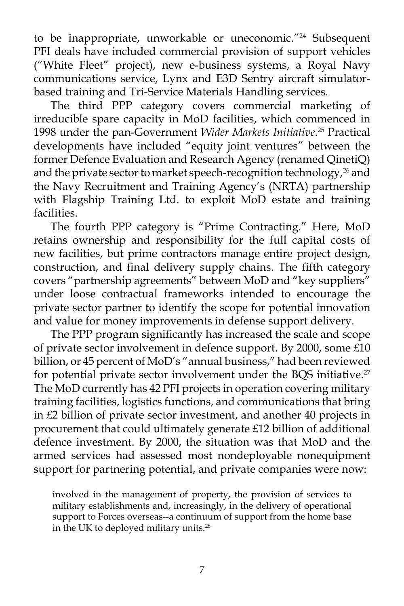to be inappropriate, unworkable or uneconomic."<sup>24</sup> Subsequent PFI deals have included commercial provision of support vehicles ("White Fleet" project), new e-business systems, a Royal Navy communications service, Lynx and E3D Sentry aircraft simulatorbased training and Tri-Service Materials Handling services.

 The third PPP category covers commercial marketing of irreducible spare capacity in MoD facilities, which commenced in 1998 under the pan-Government *Wider Markets Initiative*. 25 Practical developments have included "equity joint ventures" between the former Defence Evaluation and Research Agency (renamed QinetiQ) and the private sector to market speech-recognition technology,<sup>26</sup> and the Navy Recruitment and Training Agency's (NRTA) partnership with Flagship Training Ltd. to exploit MoD estate and training facilities.

 The fourth PPP category is "Prime Contracting." Here, MoD retains ownership and responsibility for the full capital costs of new facilities, but prime contractors manage entire project design, construction, and final delivery supply chains. The fifth category covers "partnership agreements" between MoD and "key suppliers" under loose contractual frameworks intended to encourage the private sector partner to identify the scope for potential innovation and value for money improvements in defense support delivery.

 The PPP program significantly has increased the scale and scope of private sector involvement in defence support. By 2000, some £10 billion, or 45 percent of MoD's "annual business," had been reviewed for potential private sector involvement under the BQS initiative.<sup>27</sup> The MoD currently has 42 PFI projects in operation covering military training facilities, logistics functions, and communications that bring in £2 billion of private sector investment, and another 40 projects in procurement that could ultimately generate £12 billion of additional defence investment. By 2000, the situation was that MoD and the armed services had assessed most nondeployable nonequipment support for partnering potential, and private companies were now:

involved in the management of property, the provision of services to military establishments and, increasingly, in the delivery of operational support to Forces overseas--a continuum of support from the home base in the UK to deployed military units.28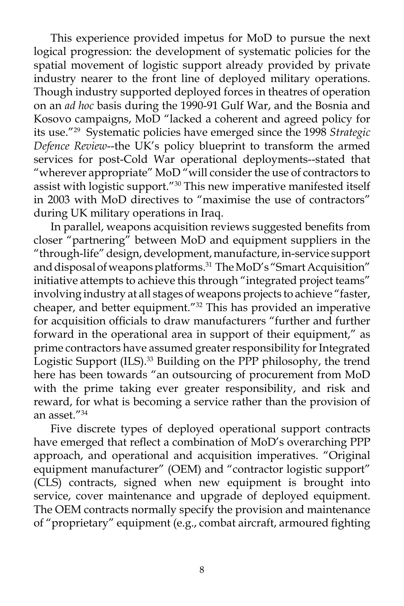This experience provided impetus for MoD to pursue the next logical progression: the development of systematic policies for the spatial movement of logistic support already provided by private industry nearer to the front line of deployed military operations. Though industry supported deployed forces in theatres of operation on an *ad hoc* basis during the 1990-91 Gulf War, and the Bosnia and Kosovo campaigns, MoD "lacked a coherent and agreed policy for its use."29 Systematic policies have emerged since the 1998 *Strategic Defence Review*--the UK's policy blueprint to transform the armed services for post-Cold War operational deployments--stated that "wherever appropriate" MoD "will consider the use of contractors to assist with logistic support."<sup>30</sup> This new imperative manifested itself in 2003 with MoD directives to "maximise the use of contractors" during UK military operations in Iraq.

 In parallel, weapons acquisition reviews suggested benefits from closer "partnering" between MoD and equipment suppliers in the "through-life" design, development, manufacture, in-service support and disposal of weapons platforms.<sup>31</sup> The MoD's "Smart Acquisition" initiative attempts to achieve this through "integrated project teams" involving industry at all stages of weapons projects to achieve "faster, cheaper, and better equipment."32 This has provided an imperative for acquisition officials to draw manufacturers "further and further forward in the operational area in support of their equipment," as prime contractors have assumed greater responsibility for Integrated Logistic Support (ILS).<sup>33</sup> Building on the PPP philosophy, the trend here has been towards "an outsourcing of procurement from MoD with the prime taking ever greater responsibility, and risk and reward, for what is becoming a service rather than the provision of an asset."34

 Five discrete types of deployed operational support contracts have emerged that reflect a combination of MoD's overarching PPP approach, and operational and acquisition imperatives. "Original equipment manufacturer" (OEM) and "contractor logistic support" (CLS) contracts, signed when new equipment is brought into service, cover maintenance and upgrade of deployed equipment. The OEM contracts normally specify the provision and maintenance of "proprietary" equipment (e.g., combat aircraft, armoured fighting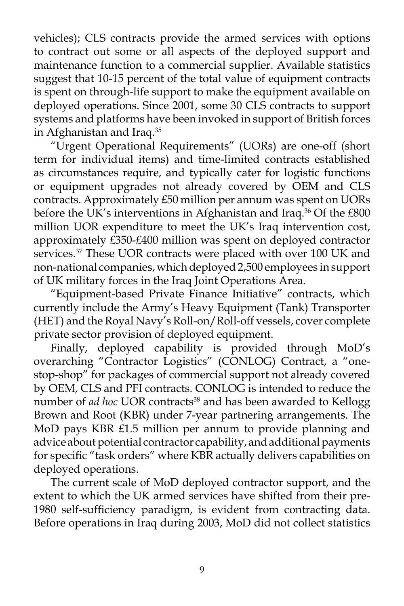vehicles); CLS contracts provide the armed services with options to contract out some or all aspects of the deployed support and maintenance function to a commercial supplier. Available statistics suggest that 10-15 percent of the total value of equipment contracts is spent on through-life support to make the equipment available on deployed operations. Since 2001, some 30 CLS contracts to support systems and platforms have been invoked in support of British forces in Afghanistan and Iraq.35

 "Urgent Operational Requirements" (UORs) are one-off (short term for individual items) and time-limited contracts established as circumstances require, and typically cater for logistic functions or equipment upgrades not already covered by OEM and CLS contracts. Approximately £50 million per annum was spent on UORs before the UK's interventions in Afghanistan and Iraq.<sup>36</sup> Of the £800 million UOR expenditure to meet the UK's Iraq intervention cost, approximately £350-£400 million was spent on deployed contractor services.<sup>37</sup> These UOR contracts were placed with over 100 UK and non-national companies, which deployed 2,500 employees in support of UK military forces in the Iraq Joint Operations Area.

 "Equipment-based Private Finance Initiative" contracts, which currently include the Army's Heavy Equipment (Tank) Transporter (HET) and the Royal Navy's Roll-on/Roll-off vessels, cover complete private sector provision of deployed equipment.

 Finally, deployed capability is provided through MoD's overarching "Contractor Logistics" (CONLOG) Contract, a "onestop-shop" for packages of commercial support not already covered by OEM, CLS and PFI contracts. CONLOG is intended to reduce the number of *ad hoc* UOR contracts<sup>38</sup> and has been awarded to Kellogg Brown and Root (KBR) under 7-year partnering arrangements. The MoD pays KBR £1.5 million per annum to provide planning and advice about potential contractor capability, and additional payments for specific "task orders" where KBR actually delivers capabilities on deployed operations.

 The current scale of MoD deployed contractor support, and the extent to which the UK armed services have shifted from their pre-1980 self-sufficiency paradigm, is evident from contracting data. Before operations in Iraq during 2003, MoD did not collect statistics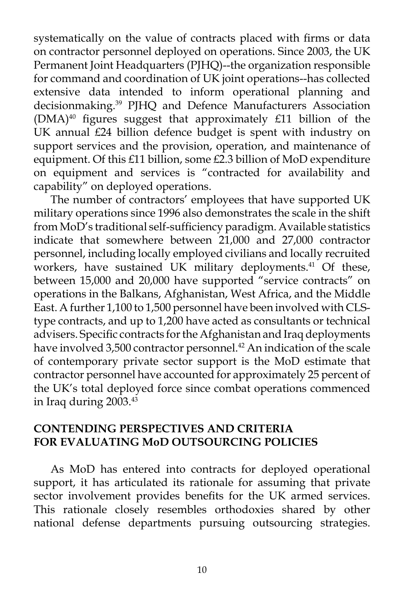systematically on the value of contracts placed with firms or data on contractor personnel deployed on operations. Since 2003, the UK Permanent Joint Headquarters (PJHQ)--the organization responsible for command and coordination of UK joint operations--has collected extensive data intended to inform operational planning and decisionmaking.39 PJHQ and Defence Manufacturers Association  $(DMA)^{40}$  figures suggest that approximately £11 billion of the UK annual £24 billion defence budget is spent with industry on support services and the provision, operation, and maintenance of equipment. Of this £11 billion, some £2.3 billion of MoD expenditure on equipment and services is "contracted for availability and capability" on deployed operations.

 The number of contractors' employees that have supported UK military operations since 1996 also demonstrates the scale in the shift from MoD's traditional self-sufficiency paradigm. Available statistics indicate that somewhere between 21,000 and 27,000 contractor personnel, including locally employed civilians and locally recruited workers, have sustained UK military deployments.<sup>41</sup> Of these, between 15,000 and 20,000 have supported "service contracts" on operations in the Balkans, Afghanistan, West Africa, and the Middle East. A further 1,100 to 1,500 personnel have been involved with CLStype contracts, and up to 1,200 have acted as consultants or technical advisers. Specific contracts for the Afghanistan and Iraq deployments have involved 3,500 contractor personnel.<sup>42</sup> An indication of the scale of contemporary private sector support is the MoD estimate that contractor personnel have accounted for approximately 25 percent of the UK's total deployed force since combat operations commenced in Iraq during 2003.43

### **CONTENDING PERSPECTIVES AND CRITERIA FOR EVALUATING MoD OUTSOURCING POLICIES**

 As MoD has entered into contracts for deployed operational support, it has articulated its rationale for assuming that private sector involvement provides benefits for the UK armed services. This rationale closely resembles orthodoxies shared by other national defense departments pursuing outsourcing strategies.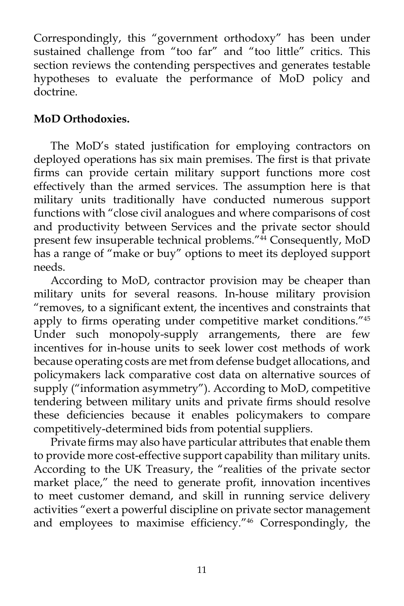Correspondingly, this "government orthodoxy" has been under sustained challenge from "too far" and "too little" critics. This section reviews the contending perspectives and generates testable hypotheses to evaluate the performance of MoD policy and doctrine.

## **MoD Orthodoxies.**

 The MoD's stated justification for employing contractors on deployed operations has six main premises. The first is that private firms can provide certain military support functions more cost effectively than the armed services. The assumption here is that military units traditionally have conducted numerous support functions with "close civil analogues and where comparisons of cost and productivity between Services and the private sector should present few insuperable technical problems."<sup>44</sup> Consequently, MoD has a range of "make or buy" options to meet its deployed support needs.

 According to MoD, contractor provision may be cheaper than military units for several reasons. In-house military provision "removes, to a significant extent, the incentives and constraints that apply to firms operating under competitive market conditions."45 Under such monopoly-supply arrangements, there are few incentives for in-house units to seek lower cost methods of work because operating costs are met from defense budget allocations, and policymakers lack comparative cost data on alternative sources of supply ("information asymmetry"). According to MoD, competitive tendering between military units and private firms should resolve these deficiencies because it enables policymakers to compare competitively-determined bids from potential suppliers.

 Private firms may also have particular attributes that enable them to provide more cost-effective support capability than military units. According to the UK Treasury, the "realities of the private sector market place," the need to generate profit, innovation incentives to meet customer demand, and skill in running service delivery activities "exert a powerful discipline on private sector management and employees to maximise efficiency."46 Correspondingly, the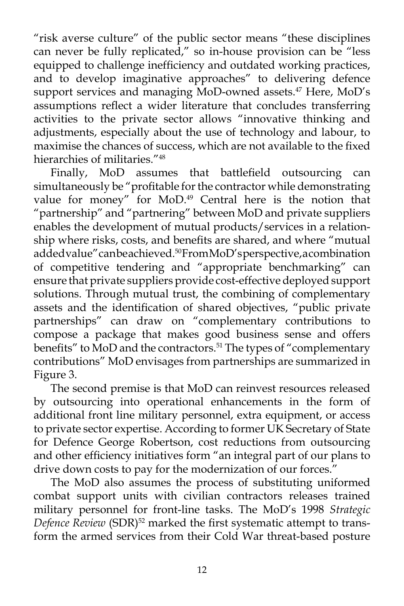"risk averse culture" of the public sector means "these disciplines can never be fully replicated," so in-house provision can be "less equipped to challenge inefficiency and outdated working practices, and to develop imaginative approaches" to delivering defence support services and managing MoD-owned assets.<sup>47</sup> Here, MoD's assumptions reflect a wider literature that concludes transferring activities to the private sector allows "innovative thinking and adjustments, especially about the use of technology and labour, to maximise the chances of success, which are not available to the fixed hierarchies of militaries<sup>"48</sup>

 Finally, MoD assumes that battlefield outsourcing can simultaneously be "profitable for the contractor while demonstrating value for money" for MoD.<sup>49</sup> Central here is the notion that "partnership" and "partnering" between MoD and private suppliers enables the development of mutual products/services in a relationship where risks, costs, and benefits are shared, and where "mutual added value" can be achieved.<sup>50</sup> From MoD's perspective, a combination of competitive tendering and "appropriate benchmarking" can ensure that private suppliers provide cost-effective deployed support solutions. Through mutual trust, the combining of complementary assets and the identification of shared objectives, "public private partnerships" can draw on "complementary contributions to compose a package that makes good business sense and offers benefits" to MoD and the contractors.<sup>51</sup> The types of "complementary contributions" MoD envisages from partnerships are summarized in Figure 3.

 The second premise is that MoD can reinvest resources released by outsourcing into operational enhancements in the form of additional front line military personnel, extra equipment, or access to private sector expertise. According to former UK Secretary of State for Defence George Robertson, cost reductions from outsourcing and other efficiency initiatives form "an integral part of our plans to drive down costs to pay for the modernization of our forces."

 The MoD also assumes the process of substituting uniformed combat support units with civilian contractors releases trained military personnel for front-line tasks. The MoD's 1998 *Strategic Defence Review* (SDR)<sup>52</sup> marked the first systematic attempt to transform the armed services from their Cold War threat-based posture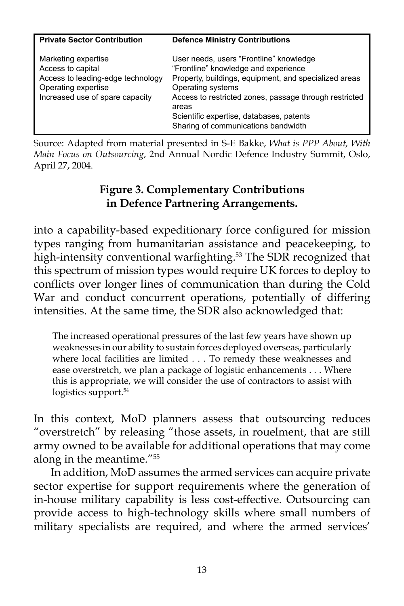| <b>Private Sector Contribution</b>                                                                                                      | <b>Defence Ministry Contributions</b>                                                                                                                                                                                                                                                                               |
|-----------------------------------------------------------------------------------------------------------------------------------------|---------------------------------------------------------------------------------------------------------------------------------------------------------------------------------------------------------------------------------------------------------------------------------------------------------------------|
| Marketing expertise<br>Access to capital<br>Access to leading-edge technology<br>Operating expertise<br>Increased use of spare capacity | User needs, users "Frontline" knowledge<br>"Frontline" knowledge and experience<br>Property, buildings, equipment, and specialized areas<br>Operating systems<br>Access to restricted zones, passage through restricted<br>areas<br>Scientific expertise, databases, patents<br>Sharing of communications bandwidth |

Source: Adapted from material presented in S-E Bakke, *What is PPP About, With Main Focus on Outsourcing*, 2nd Annual Nordic Defence Industry Summit, Oslo, April 27, 2004.

## **Figure 3. Complementary Contributions in Defence Partnering Arrangements.**

into a capability-based expeditionary force configured for mission types ranging from humanitarian assistance and peacekeeping, to high-intensity conventional warfighting.<sup>53</sup> The SDR recognized that this spectrum of mission types would require UK forces to deploy to conflicts over longer lines of communication than during the Cold War and conduct concurrent operations, potentially of differing intensities. At the same time, the SDR also acknowledged that:

The increased operational pressures of the last few years have shown up weaknesses in our ability to sustain forces deployed overseas, particularly where local facilities are limited . . . To remedy these weaknesses and ease overstretch, we plan a package of logistic enhancements . . . Where this is appropriate, we will consider the use of contractors to assist with logistics support.<sup>54</sup>

In this context, MoD planners assess that outsourcing reduces "overstretch" by releasing "those assets, in rouelment, that are still army owned to be available for additional operations that may come along in the meantime."55

 In addition, MoD assumes the armed services can acquire private sector expertise for support requirements where the generation of in-house military capability is less cost-effective. Outsourcing can provide access to high-technology skills where small numbers of military specialists are required, and where the armed services'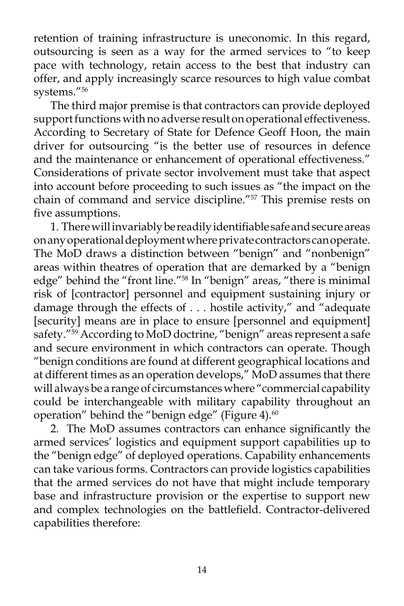retention of training infrastructure is uneconomic. In this regard, outsourcing is seen as a way for the armed services to "to keep pace with technology, retain access to the best that industry can offer, and apply increasingly scarce resources to high value combat systems."56

 The third major premise is that contractors can provide deployed support functions with no adverse result on operational effectiveness. According to Secretary of State for Defence Geoff Hoon, the main driver for outsourcing "is the better use of resources in defence and the maintenance or enhancement of operational effectiveness." Considerations of private sector involvement must take that aspect into account before proceeding to such issues as "the impact on the chain of command and service discipline."57 This premise rests on five assumptions.

 1. There will invariably be readily identifiable safe and secure areas on any operational deployment where private contractors can operate. The MoD draws a distinction between "benign" and "nonbenign" areas within theatres of operation that are demarked by a "benign edge" behind the "front line."<sup>58</sup> In "benign" areas, "there is minimal risk of [contractor] personnel and equipment sustaining injury or damage through the effects of . . . hostile activity," and "adequate [security] means are in place to ensure [personnel and equipment] safety."<sup>59</sup> According to MoD doctrine, "benign" areas represent a safe and secure environment in which contractors can operate. Though "benign conditions are found at different geographical locations and at different times as an operation develops," MoD assumes that there will always be a range of circumstances where "commercial capability could be interchangeable with military capability throughout an operation" behind the "benign edge" (Figure 4). $60$ 

 2. The MoD assumes contractors can enhance significantly the armed services' logistics and equipment support capabilities up to the "benign edge" of deployed operations. Capability enhancements can take various forms. Contractors can provide logistics capabilities that the armed services do not have that might include temporary base and infrastructure provision or the expertise to support new and complex technologies on the battlefield. Contractor-delivered capabilities therefore: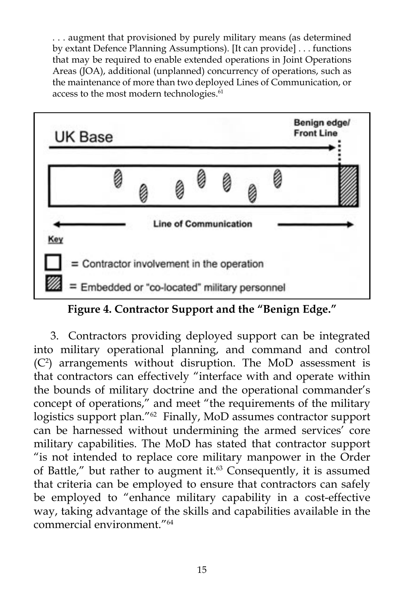. . . augment that provisioned by purely military means (as determined by extant Defence Planning Assumptions). [It can provide] . . . functions that may be required to enable extended operations in Joint Operations Areas (JOA), additional (unplanned) concurrency of operations, such as the maintenance of more than two deployed Lines of Communication, or access to the most modern technologies.<sup>61</sup>



**Figure 4. Contractor Support and the "Benign Edge."**

 3. Contractors providing deployed support can be integrated into military operational planning, and command and control (C2 ) arrangements without disruption. The MoD assessment is that contractors can effectively "interface with and operate within the bounds of military doctrine and the operational commander's concept of operations," and meet "the requirements of the military logistics support plan."<sup>62</sup> Finally, MoD assumes contractor support can be harnessed without undermining the armed services' core military capabilities. The MoD has stated that contractor support "is not intended to replace core military manpower in the Order of Battle," but rather to augment it. $63$  Consequently, it is assumed that criteria can be employed to ensure that contractors can safely be employed to "enhance military capability in a cost-effective way, taking advantage of the skills and capabilities available in the commercial environment."64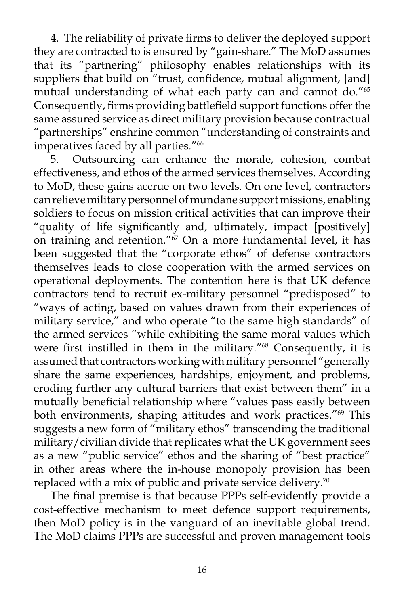4. The reliability of private firms to deliver the deployed support they are contracted to is ensured by "gain-share." The MoD assumes that its "partnering" philosophy enables relationships with its suppliers that build on "trust, confidence, mutual alignment, [and] mutual understanding of what each party can and cannot do."65 Consequently, firms providing battlefield support functions offer the same assured service as direct military provision because contractual "partnerships" enshrine common "understanding of constraints and imperatives faced by all parties."<sup>66</sup>

 5. Outsourcing can enhance the morale, cohesion, combat effectiveness, and ethos of the armed services themselves. According to MoD, these gains accrue on two levels. On one level, contractors can relieve military personnel of mundane support missions, enabling soldiers to focus on mission critical activities that can improve their "quality of life significantly and, ultimately, impact [positively] on training and retention."67 On a more fundamental level, it has been suggested that the "corporate ethos" of defense contractors themselves leads to close cooperation with the armed services on operational deployments. The contention here is that UK defence contractors tend to recruit ex-military personnel "predisposed" to "ways of acting, based on values drawn from their experiences of military service," and who operate "to the same high standards" of the armed services "while exhibiting the same moral values which were first instilled in them in the military."<sup>68</sup> Consequently, it is assumed that contractors working with military personnel "generally share the same experiences, hardships, enjoyment, and problems, eroding further any cultural barriers that exist between them" in a mutually beneficial relationship where "values pass easily between both environments, shaping attitudes and work practices."<sup>69</sup> This suggests a new form of "military ethos" transcending the traditional military/civilian divide that replicates what the UK government sees as a new "public service" ethos and the sharing of "best practice" in other areas where the in-house monopoly provision has been replaced with a mix of public and private service delivery.<sup>70</sup>

 The final premise is that because PPPs self-evidently provide a cost-effective mechanism to meet defence support requirements, then MoD policy is in the vanguard of an inevitable global trend. The MoD claims PPPs are successful and proven management tools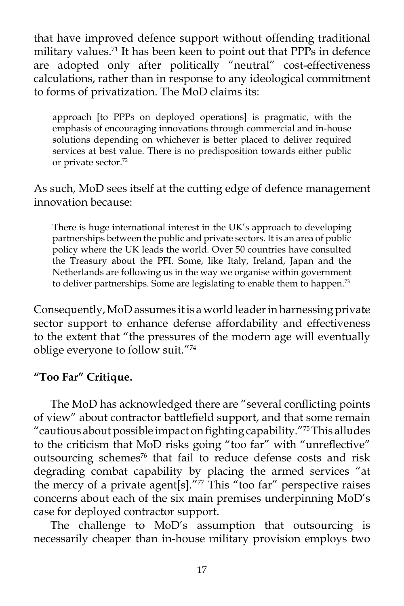that have improved defence support without offending traditional military values.<sup>71</sup> It has been keen to point out that PPPs in defence are adopted only after politically "neutral" cost-effectiveness calculations, rather than in response to any ideological commitment to forms of privatization. The MoD claims its:

approach [to PPPs on deployed operations] is pragmatic, with the emphasis of encouraging innovations through commercial and in-house solutions depending on whichever is better placed to deliver required services at best value. There is no predisposition towards either public or private sector.72

As such, MoD sees itself at the cutting edge of defence management innovation because:

There is huge international interest in the UK's approach to developing partnerships between the public and private sectors. It is an area of public policy where the UK leads the world. Over 50 countries have consulted the Treasury about the PFI. Some, like Italy, Ireland, Japan and the Netherlands are following us in the way we organise within government to deliver partnerships. Some are legislating to enable them to happen.<sup>73</sup>

Consequently, MoD assumes it is a world leader in harnessing private sector support to enhance defense affordability and effectiveness to the extent that "the pressures of the modern age will eventually oblige everyone to follow suit."74

# **"Too Far" Critique.**

 The MoD has acknowledged there are "several conflicting points of view" about contractor battlefield support, and that some remain "cautious about possible impact on fighting capability."75 This alludes to the criticism that MoD risks going "too far" with "unreflective" outsourcing schemes<sup>76</sup> that fail to reduce defense costs and risk degrading combat capability by placing the armed services "at the mercy of a private agent[s]. $\frac{777}{7}$  This "too far" perspective raises concerns about each of the six main premises underpinning MoD's case for deployed contractor support.

 The challenge to MoD's assumption that outsourcing is necessarily cheaper than in-house military provision employs two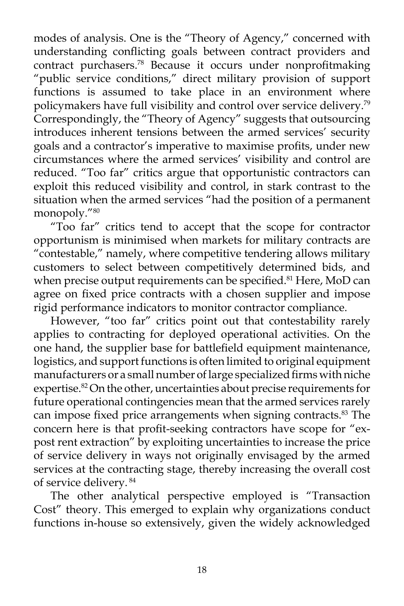modes of analysis. One is the "Theory of Agency," concerned with understanding conflicting goals between contract providers and contract purchasers.78 Because it occurs under nonprofitmaking "public service conditions," direct military provision of support functions is assumed to take place in an environment where policymakers have full visibility and control over service delivery.79 Correspondingly, the "Theory of Agency" suggests that outsourcing introduces inherent tensions between the armed services' security goals and a contractor's imperative to maximise profits, under new circumstances where the armed services' visibility and control are reduced. "Too far" critics argue that opportunistic contractors can exploit this reduced visibility and control, in stark contrast to the situation when the armed services "had the position of a permanent monopoly."80

 "Too far" critics tend to accept that the scope for contractor opportunism is minimised when markets for military contracts are "contestable," namely, where competitive tendering allows military customers to select between competitively determined bids, and when precise output requirements can be specified.<sup>81</sup> Here, MoD can agree on fixed price contracts with a chosen supplier and impose rigid performance indicators to monitor contractor compliance.

 However, "too far" critics point out that contestability rarely applies to contracting for deployed operational activities. On the one hand, the supplier base for battlefield equipment maintenance, logistics, and support functions is often limited to original equipment manufacturers or a small number of large specialized firms with niche expertise.<sup>82</sup> On the other, uncertainties about precise requirements for future operational contingencies mean that the armed services rarely can impose fixed price arrangements when signing contracts.<sup>83</sup> The concern here is that profit-seeking contractors have scope for "expost rent extraction" by exploiting uncertainties to increase the price of service delivery in ways not originally envisaged by the armed services at the contracting stage, thereby increasing the overall cost of service delivery. 84

 The other analytical perspective employed is "Transaction Cost" theory. This emerged to explain why organizations conduct functions in-house so extensively, given the widely acknowledged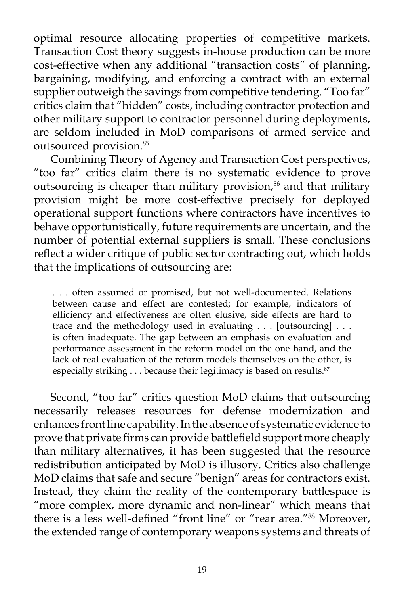optimal resource allocating properties of competitive markets. Transaction Cost theory suggests in-house production can be more cost-effective when any additional "transaction costs" of planning, bargaining, modifying, and enforcing a contract with an external supplier outweigh the savings from competitive tendering. "Too far" critics claim that "hidden" costs, including contractor protection and other military support to contractor personnel during deployments, are seldom included in MoD comparisons of armed service and outsourced provision.85

 Combining Theory of Agency and Transaction Cost perspectives, "too far" critics claim there is no systematic evidence to prove outsourcing is cheaper than military provision,<sup>86</sup> and that military provision might be more cost-effective precisely for deployed operational support functions where contractors have incentives to behave opportunistically, future requirements are uncertain, and the number of potential external suppliers is small. These conclusions reflect a wider critique of public sector contracting out, which holds that the implications of outsourcing are:

. . . often assumed or promised, but not well-documented. Relations between cause and effect are contested; for example, indicators of efficiency and effectiveness are often elusive, side effects are hard to trace and the methodology used in evaluating . . . [outsourcing] . . . is often inadequate. The gap between an emphasis on evaluation and performance assessment in the reform model on the one hand, and the lack of real evaluation of the reform models themselves on the other, is especially striking . . . because their legitimacy is based on results.<sup>87</sup>

 Second, "too far" critics question MoD claims that outsourcing necessarily releases resources for defense modernization and enhances front line capability. In the absence of systematic evidence to prove that private firms can provide battlefield support more cheaply than military alternatives, it has been suggested that the resource redistribution anticipated by MoD is illusory. Critics also challenge MoD claims that safe and secure "benign" areas for contractors exist. Instead, they claim the reality of the contemporary battlespace is "more complex, more dynamic and non-linear" which means that there is a less well-defined "front line" or "rear area."88 Moreover, the extended range of contemporary weapons systems and threats of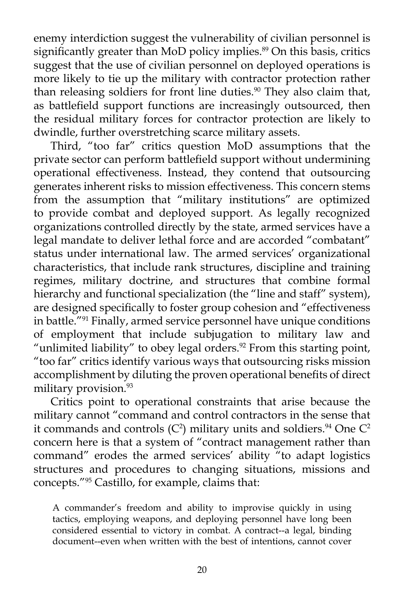enemy interdiction suggest the vulnerability of civilian personnel is significantly greater than MoD policy implies.<sup>89</sup> On this basis, critics suggest that the use of civilian personnel on deployed operations is more likely to tie up the military with contractor protection rather than releasing soldiers for front line duties.<sup>90</sup> They also claim that, as battlefield support functions are increasingly outsourced, then the residual military forces for contractor protection are likely to dwindle, further overstretching scarce military assets.

 Third, "too far" critics question MoD assumptions that the private sector can perform battlefield support without undermining operational effectiveness. Instead, they contend that outsourcing generates inherent risks to mission effectiveness. This concern stems from the assumption that "military institutions" are optimized to provide combat and deployed support. As legally recognized organizations controlled directly by the state, armed services have a legal mandate to deliver lethal force and are accorded "combatant" status under international law. The armed services' organizational characteristics, that include rank structures, discipline and training regimes, military doctrine, and structures that combine formal hierarchy and functional specialization (the "line and staff" system), are designed specifically to foster group cohesion and "effectiveness in battle."91 Finally, armed service personnel have unique conditions of employment that include subjugation to military law and "unlimited liability" to obey legal orders.<sup>92</sup> From this starting point, "too far" critics identify various ways that outsourcing risks mission accomplishment by diluting the proven operational benefits of direct military provision.<sup>93</sup>

 Critics point to operational constraints that arise because the military cannot "command and control contractors in the sense that it commands and controls (C<sup>2</sup>) military units and soldiers.<sup>94</sup> One C<sup>2</sup> concern here is that a system of "contract management rather than command" erodes the armed services' ability "to adapt logistics structures and procedures to changing situations, missions and concepts."95 Castillo, for example, claims that:

A commander's freedom and ability to improvise quickly in using tactics, employing weapons, and deploying personnel have long been considered essential to victory in combat. A contract--a legal, binding document--even when written with the best of intentions, cannot cover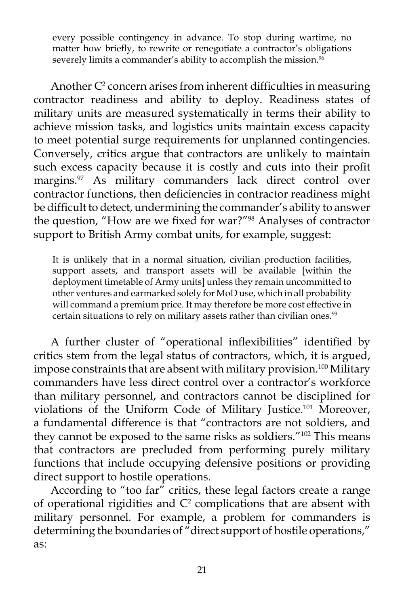every possible contingency in advance. To stop during wartime, no matter how briefly, to rewrite or renegotiate a contractor's obligations severely limits a commander's ability to accomplish the mission.<sup>96</sup>

Another  $C<sup>2</sup>$  concern arises from inherent difficulties in measuring contractor readiness and ability to deploy. Readiness states of military units are measured systematically in terms their ability to achieve mission tasks, and logistics units maintain excess capacity to meet potential surge requirements for unplanned contingencies. Conversely, critics argue that contractors are unlikely to maintain such excess capacity because it is costly and cuts into their profit margins.<sup>97</sup> As military commanders lack direct control over contractor functions, then deficiencies in contractor readiness might be difficult to detect, undermining the commander's ability to answer the question, "How are we fixed for war?"98 Analyses of contractor support to British Army combat units, for example, suggest:

It is unlikely that in a normal situation, civilian production facilities, support assets, and transport assets will be available [within the deployment timetable of Army units] unless they remain uncommitted to other ventures and earmarked solely for MoD use, which in all probability will command a premium price. It may therefore be more cost effective in certain situations to rely on military assets rather than civilian ones.<sup>99</sup>

 A further cluster of "operational inflexibilities" identified by critics stem from the legal status of contractors, which, it is argued, impose constraints that are absent with military provision.<sup>100</sup> Military commanders have less direct control over a contractor's workforce than military personnel, and contractors cannot be disciplined for violations of the Uniform Code of Military Justice.101 Moreover, a fundamental difference is that "contractors are not soldiers, and they cannot be exposed to the same risks as soldiers."<sup>102</sup> This means that contractors are precluded from performing purely military functions that include occupying defensive positions or providing direct support to hostile operations.

According to "too far" critics, these legal factors create a range of operational rigidities and  $C<sup>2</sup>$  complications that are absent with military personnel. For example, a problem for commanders is determining the boundaries of "direct support of hostile operations," as: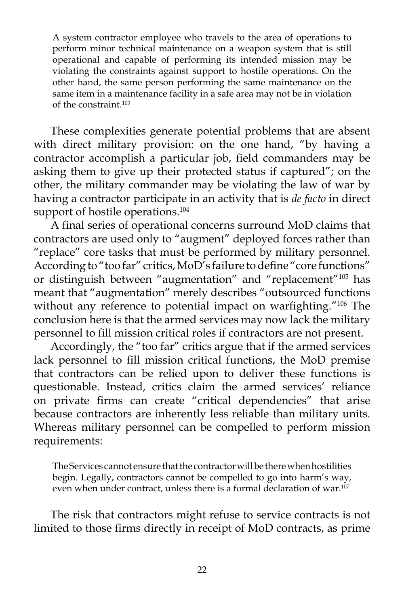A system contractor employee who travels to the area of operations to perform minor technical maintenance on a weapon system that is still operational and capable of performing its intended mission may be violating the constraints against support to hostile operations. On the other hand, the same person performing the same maintenance on the same item in a maintenance facility in a safe area may not be in violation of the constraint.103

 These complexities generate potential problems that are absent with direct military provision: on the one hand, "by having a contractor accomplish a particular job, field commanders may be asking them to give up their protected status if captured"; on the other, the military commander may be violating the law of war by having a contractor participate in an activity that is *de facto* in direct support of hostile operations.<sup>104</sup>

 A final series of operational concerns surround MoD claims that contractors are used only to "augment" deployed forces rather than "replace" core tasks that must be performed by military personnel. According to "too far" critics, MoD's failure to define "core functions" or distinguish between "augmentation" and "replacement"105 has meant that "augmentation" merely describes "outsourced functions without any reference to potential impact on warfighting."<sup>106</sup> The conclusion here is that the armed services may now lack the military personnel to fill mission critical roles if contractors are not present.

 Accordingly, the "too far" critics argue that if the armed services lack personnel to fill mission critical functions, the MoD premise that contractors can be relied upon to deliver these functions is questionable. Instead, critics claim the armed services' reliance on private firms can create "critical dependencies" that arise because contractors are inherently less reliable than military units. Whereas military personnel can be compelled to perform mission requirements:

The Services cannot ensure that the contractor will be there when hostilities begin. Legally, contractors cannot be compelled to go into harm's way, even when under contract, unless there is a formal declaration of war.<sup>107</sup>

 The risk that contractors might refuse to service contracts is not limited to those firms directly in receipt of MoD contracts, as prime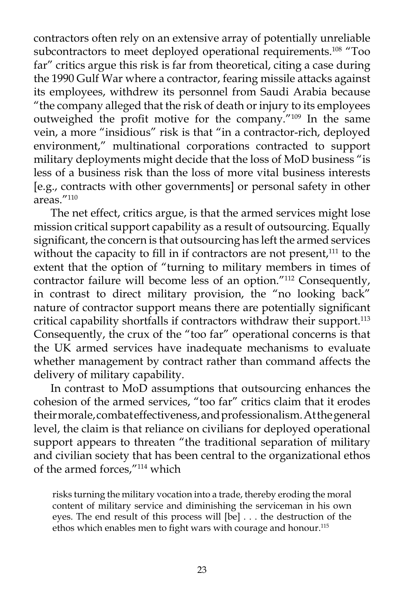contractors often rely on an extensive array of potentially unreliable subcontractors to meet deployed operational requirements.<sup>108</sup> "Too far" critics argue this risk is far from theoretical, citing a case during the 1990 Gulf War where a contractor, fearing missile attacks against its employees, withdrew its personnel from Saudi Arabia because "the company alleged that the risk of death or injury to its employees outweighed the profit motive for the company."109 In the same vein, a more "insidious" risk is that "in a contractor-rich, deployed environment," multinational corporations contracted to support military deployments might decide that the loss of MoD business "is less of a business risk than the loss of more vital business interests [e.g., contracts with other governments] or personal safety in other areas."110

 The net effect, critics argue, is that the armed services might lose mission critical support capability as a result of outsourcing. Equally significant, the concern is that outsourcing has left the armed services without the capacity to fill in if contractors are not present, $111$  to the extent that the option of "turning to military members in times of contractor failure will become less of an option."112 Consequently, in contrast to direct military provision, the "no looking back" nature of contractor support means there are potentially significant critical capability shortfalls if contractors withdraw their support.<sup>113</sup> Consequently, the crux of the "too far" operational concerns is that the UK armed services have inadequate mechanisms to evaluate whether management by contract rather than command affects the delivery of military capability.

 In contrast to MoD assumptions that outsourcing enhances the cohesion of the armed services, "too far" critics claim that it erodes their morale, combat effectiveness, and professionalism. At the general level, the claim is that reliance on civilians for deployed operational support appears to threaten "the traditional separation of military and civilian society that has been central to the organizational ethos of the armed forces,"114 which

risks turning the military vocation into a trade, thereby eroding the moral content of military service and diminishing the serviceman in his own eyes. The end result of this process will [be] . . . the destruction of the ethos which enables men to fight wars with courage and honour.115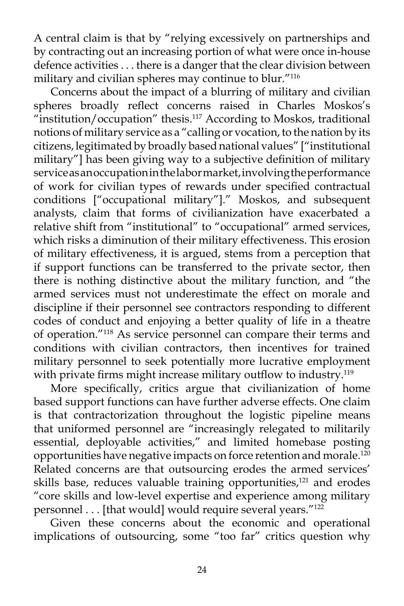A central claim is that by "relying excessively on partnerships and by contracting out an increasing portion of what were once in-house defence activities . . . there is a danger that the clear division between military and civilian spheres may continue to blur."116

 Concerns about the impact of a blurring of military and civilian spheres broadly reflect concerns raised in Charles Moskos's "institution/occupation" thesis.<sup>117</sup> According to Moskos, traditional notions of military service as a "calling or vocation, to the nation by its citizens, legitimated by broadly based national values" ["institutional military"] has been giving way to a subjective definition of military service as an occupation in the labor market, involving the performance of work for civilian types of rewards under specified contractual conditions ["occupational military"]." Moskos, and subsequent analysts, claim that forms of civilianization have exacerbated a relative shift from "institutional" to "occupational" armed services, which risks a diminution of their military effectiveness. This erosion of military effectiveness, it is argued, stems from a perception that if support functions can be transferred to the private sector, then there is nothing distinctive about the military function, and "the armed services must not underestimate the effect on morale and discipline if their personnel see contractors responding to different codes of conduct and enjoying a better quality of life in a theatre of operation."118 As service personnel can compare their terms and conditions with civilian contractors, then incentives for trained military personnel to seek potentially more lucrative employment with private firms might increase military outflow to industry.<sup>119</sup>

 More specifically, critics argue that civilianization of home based support functions can have further adverse effects. One claim is that contractorization throughout the logistic pipeline means that uniformed personnel are "increasingly relegated to militarily essential, deployable activities," and limited homebase posting opportunities have negative impacts on force retention and morale.<sup>120</sup> Related concerns are that outsourcing erodes the armed services' skills base, reduces valuable training opportunities, $121$  and erodes "core skills and low-level expertise and experience among military personnel . . . [that would] would require several years."<sup>122</sup>

 Given these concerns about the economic and operational implications of outsourcing, some "too far" critics question why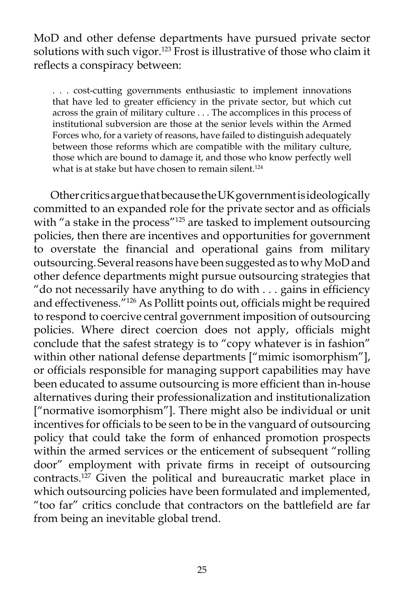MoD and other defense departments have pursued private sector solutions with such vigor.<sup>123</sup> Frost is illustrative of those who claim it reflects a conspiracy between:

. . . cost-cutting governments enthusiastic to implement innovations that have led to greater efficiency in the private sector, but which cut across the grain of military culture . . . The accomplices in this process of institutional subversion are those at the senior levels within the Armed Forces who, for a variety of reasons, have failed to distinguish adequately between those reforms which are compatible with the military culture, those which are bound to damage it, and those who know perfectly well what is at stake but have chosen to remain silent.<sup>124</sup>

 Other critics argue that because the UK government is ideologically committed to an expanded role for the private sector and as officials with "a stake in the process"<sup>125</sup> are tasked to implement outsourcing policies, then there are incentives and opportunities for government to overstate the financial and operational gains from military outsourcing. Several reasons have been suggested as to why MoD and other defence departments might pursue outsourcing strategies that "do not necessarily have anything to do with . . . gains in efficiency and effectiveness."126 As Pollitt points out, officials might be required to respond to coercive central government imposition of outsourcing policies. Where direct coercion does not apply, officials might conclude that the safest strategy is to "copy whatever is in fashion" within other national defense departments ["mimic isomorphism"], or officials responsible for managing support capabilities may have been educated to assume outsourcing is more efficient than in-house alternatives during their professionalization and institutionalization ["normative isomorphism"]. There might also be individual or unit incentives for officials to be seen to be in the vanguard of outsourcing policy that could take the form of enhanced promotion prospects within the armed services or the enticement of subsequent "rolling door" employment with private firms in receipt of outsourcing contracts.127 Given the political and bureaucratic market place in which outsourcing policies have been formulated and implemented, "too far" critics conclude that contractors on the battlefield are far from being an inevitable global trend.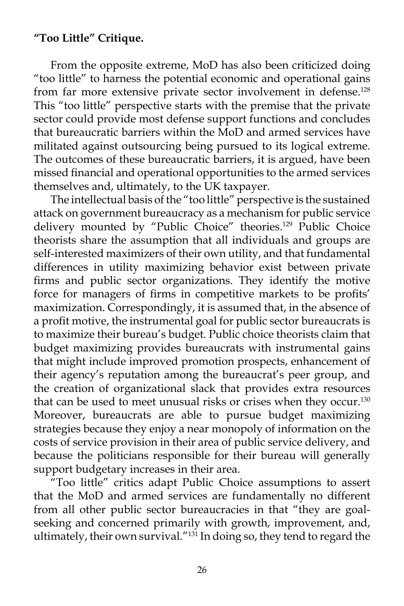### **"Too Little" Critique.**

 From the opposite extreme, MoD has also been criticized doing "too little" to harness the potential economic and operational gains from far more extensive private sector involvement in defense.<sup>128</sup> This "too little" perspective starts with the premise that the private sector could provide most defense support functions and concludes that bureaucratic barriers within the MoD and armed services have militated against outsourcing being pursued to its logical extreme. The outcomes of these bureaucratic barriers, it is argued, have been missed financial and operational opportunities to the armed services themselves and, ultimately, to the UK taxpayer.

 The intellectual basis of the "too little" perspective is the sustained attack on government bureaucracy as a mechanism for public service delivery mounted by "Public Choice" theories.<sup>129</sup> Public Choice theorists share the assumption that all individuals and groups are self-interested maximizers of their own utility, and that fundamental differences in utility maximizing behavior exist between private firms and public sector organizations. They identify the motive force for managers of firms in competitive markets to be profits' maximization. Correspondingly, it is assumed that, in the absence of a profit motive, the instrumental goal for public sector bureaucrats is to maximize their bureau's budget. Public choice theorists claim that budget maximizing provides bureaucrats with instrumental gains that might include improved promotion prospects, enhancement of their agency's reputation among the bureaucrat's peer group, and the creation of organizational slack that provides extra resources that can be used to meet unusual risks or crises when they occur.<sup>130</sup> Moreover, bureaucrats are able to pursue budget maximizing strategies because they enjoy a near monopoly of information on the costs of service provision in their area of public service delivery, and because the politicians responsible for their bureau will generally support budgetary increases in their area.

 "Too little" critics adapt Public Choice assumptions to assert that the MoD and armed services are fundamentally no different from all other public sector bureaucracies in that "they are goalseeking and concerned primarily with growth, improvement, and, ultimately, their own survival."131 In doing so, they tend to regard the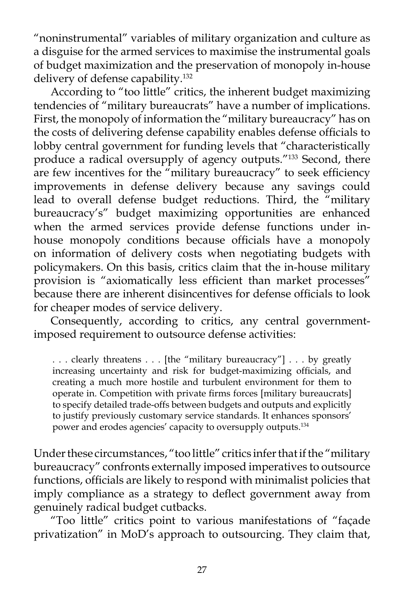"noninstrumental" variables of military organization and culture as a disguise for the armed services to maximise the instrumental goals of budget maximization and the preservation of monopoly in-house delivery of defense capability.132

 According to "too little" critics, the inherent budget maximizing tendencies of "military bureaucrats" have a number of implications. First, the monopoly of information the "military bureaucracy" has on the costs of delivering defense capability enables defense officials to lobby central government for funding levels that "characteristically produce a radical oversupply of agency outputs."133 Second, there are few incentives for the "military bureaucracy" to seek efficiency improvements in defense delivery because any savings could lead to overall defense budget reductions. Third, the "military bureaucracy's" budget maximizing opportunities are enhanced when the armed services provide defense functions under inhouse monopoly conditions because officials have a monopoly on information of delivery costs when negotiating budgets with policymakers. On this basis, critics claim that the in-house military provision is "axiomatically less efficient than market processes" because there are inherent disincentives for defense officials to look for cheaper modes of service delivery.

 Consequently, according to critics, any central governmentimposed requirement to outsource defense activities:

. . . clearly threatens . . . [the "military bureaucracy"] . . . by greatly increasing uncertainty and risk for budget-maximizing officials, and creating a much more hostile and turbulent environment for them to operate in. Competition with private firms forces [military bureaucrats] to specify detailed trade-offs between budgets and outputs and explicitly to justify previously customary service standards. It enhances sponsors' power and erodes agencies' capacity to oversupply outputs.134

Under these circumstances, "too little" critics infer that if the "military bureaucracy" confronts externally imposed imperatives to outsource functions, officials are likely to respond with minimalist policies that imply compliance as a strategy to deflect government away from genuinely radical budget cutbacks.

 "Too little" critics point to various manifestations of "façade privatization" in MoD's approach to outsourcing. They claim that,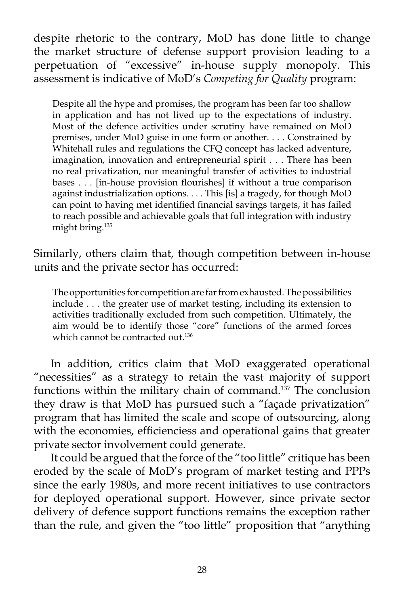despite rhetoric to the contrary, MoD has done little to change the market structure of defense support provision leading to a perpetuation of "excessive" in-house supply monopoly. This assessment is indicative of MoD's *Competing for Quality* program:

Despite all the hype and promises, the program has been far too shallow in application and has not lived up to the expectations of industry. Most of the defence activities under scrutiny have remained on MoD premises, under MoD guise in one form or another. . . . Constrained by Whitehall rules and regulations the CFQ concept has lacked adventure, imagination, innovation and entrepreneurial spirit . . . There has been no real privatization, nor meaningful transfer of activities to industrial bases . . . [in-house provision flourishes] if without a true comparison against industrialization options. . . . This [is] a tragedy, for though MoD can point to having met identified financial savings targets, it has failed to reach possible and achievable goals that full integration with industry might bring.135

Similarly, others claim that, though competition between in-house units and the private sector has occurred:

The opportunities for competition are far from exhausted. The possibilities include . . . the greater use of market testing, including its extension to activities traditionally excluded from such competition. Ultimately, the aim would be to identify those "core" functions of the armed forces which cannot be contracted out.<sup>136</sup>

 In addition, critics claim that MoD exaggerated operational "necessities" as a strategy to retain the vast majority of support functions within the military chain of command.137 The conclusion they draw is that MoD has pursued such a "façade privatization" program that has limited the scale and scope of outsourcing, along with the economies, efficienciess and operational gains that greater private sector involvement could generate.

 It could be argued that the force of the "too little" critique has been eroded by the scale of MoD's program of market testing and PPPs since the early 1980s, and more recent initiatives to use contractors for deployed operational support. However, since private sector delivery of defence support functions remains the exception rather than the rule, and given the "too little" proposition that "anything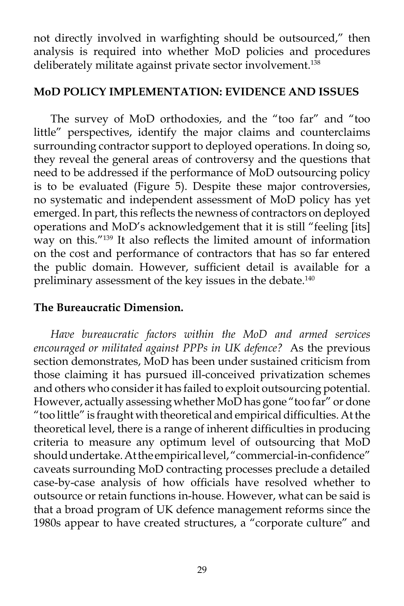not directly involved in warfighting should be outsourced," then analysis is required into whether MoD policies and procedures deliberately militate against private sector involvement.<sup>138</sup>

### **MoD POLICY IMPLEMENTATION: EVIDENCE AND ISSUES**

 The survey of MoD orthodoxies, and the "too far" and "too little" perspectives, identify the major claims and counterclaims surrounding contractor support to deployed operations. In doing so, they reveal the general areas of controversy and the questions that need to be addressed if the performance of MoD outsourcing policy is to be evaluated (Figure 5). Despite these major controversies, no systematic and independent assessment of MoD policy has yet emerged. In part, this reflects the newness of contractors on deployed operations and MoD's acknowledgement that it is still "feeling [its] way on this."139 It also reflects the limited amount of information on the cost and performance of contractors that has so far entered the public domain. However, sufficient detail is available for a preliminary assessment of the key issues in the debate.<sup>140</sup>

## **The Bureaucratic Dimension.**

*Have bureaucratic factors within the MoD and armed services encouraged or militated against PPPs in UK defence?* As the previous section demonstrates, MoD has been under sustained criticism from those claiming it has pursued ill-conceived privatization schemes and others who consider it has failed to exploit outsourcing potential. However, actually assessing whether MoD has gone "too far" or done "too little" is fraught with theoretical and empirical difficulties. At the theoretical level, there is a range of inherent difficulties in producing criteria to measure any optimum level of outsourcing that MoD should undertake. At the empirical level, "commercial-in-confidence" caveats surrounding MoD contracting processes preclude a detailed case-by-case analysis of how officials have resolved whether to outsource or retain functions in-house. However, what can be said is that a broad program of UK defence management reforms since the 1980s appear to have created structures, a "corporate culture" and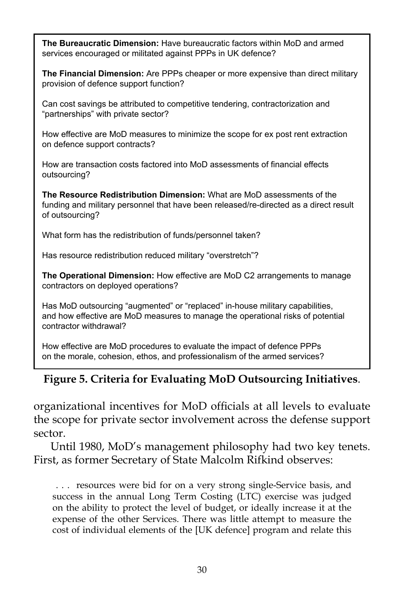**The Bureaucratic Dimension:** Have bureaucratic factors within MoD and armed services encouraged or militated against PPPs in UK defence?

**The Financial Dimension:** Are PPPs cheaper or more expensive than direct military provision of defence support function?

Can cost savings be attributed to competitive tendering, contractorization and "partnerships" with private sector?

How effective are MoD measures to minimize the scope for ex post rent extraction on defence support contracts?

How are transaction costs factored into MoD assessments of financial effects outsourcing?

**The Resource Redistribution Dimension:** What are MoD assessments of the funding and military personnel that have been released/re-directed as a direct result of outsourcing?

What form has the redistribution of funds/personnel taken?

Has resource redistribution reduced military "overstretch"?

**The Operational Dimension:** How effective are MoD C2 arrangements to manage contractors on deployed operations?

Has MoD outsourcing "augmented" or "replaced" in-house military capabilities, and how effective are MoD measures to manage the operational risks of potential contractor withdrawal?

How effective are MoD procedures to evaluate the impact of defence PPPs on the morale, cohesion, ethos, and professionalism of the armed services?

## **Figure 5. Criteria for Evaluating MoD Outsourcing Initiatives**.

organizational incentives for MoD officials at all levels to evaluate the scope for private sector involvement across the defense support sector.

 Until 1980, MoD's management philosophy had two key tenets. First, as former Secretary of State Malcolm Rifkind observes:

 . . . resources were bid for on a very strong single-Service basis, and success in the annual Long Term Costing (LTC) exercise was judged on the ability to protect the level of budget, or ideally increase it at the expense of the other Services. There was little attempt to measure the cost of individual elements of the [UK defence] program and relate this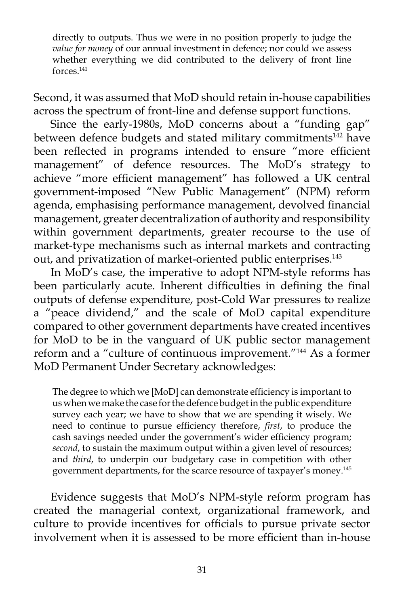directly to outputs. Thus we were in no position properly to judge the *value for money* of our annual investment in defence; nor could we assess whether everything we did contributed to the delivery of front line forces.141

Second, it was assumed that MoD should retain in-house capabilities across the spectrum of front-line and defense support functions.

 Since the early-1980s, MoD concerns about a "funding gap" between defence budgets and stated military commitments<sup>142</sup> have been reflected in programs intended to ensure "more efficient management" of defence resources. The MoD's strategy to achieve "more efficient management" has followed a UK central government-imposed "New Public Management" (NPM) reform agenda, emphasising performance management, devolved financial management, greater decentralization of authority and responsibility within government departments, greater recourse to the use of market-type mechanisms such as internal markets and contracting out, and privatization of market-oriented public enterprises.<sup>143</sup>

 In MoD's case, the imperative to adopt NPM-style reforms has been particularly acute. Inherent difficulties in defining the final outputs of defense expenditure, post-Cold War pressures to realize a "peace dividend," and the scale of MoD capital expenditure compared to other government departments have created incentives for MoD to be in the vanguard of UK public sector management reform and a "culture of continuous improvement."144 As a former MoD Permanent Under Secretary acknowledges:

The degree to which we [MoD] can demonstrate efficiency is important to us when we make the case for the defence budget in the public expenditure survey each year; we have to show that we are spending it wisely. We need to continue to pursue efficiency therefore, *first*, to produce the cash savings needed under the government's wider efficiency program; *second*, to sustain the maximum output within a given level of resources; and *third*, to underpin our budgetary case in competition with other government departments, for the scarce resource of taxpayer's money.145

 Evidence suggests that MoD's NPM-style reform program has created the managerial context, organizational framework, and culture to provide incentives for officials to pursue private sector involvement when it is assessed to be more efficient than in-house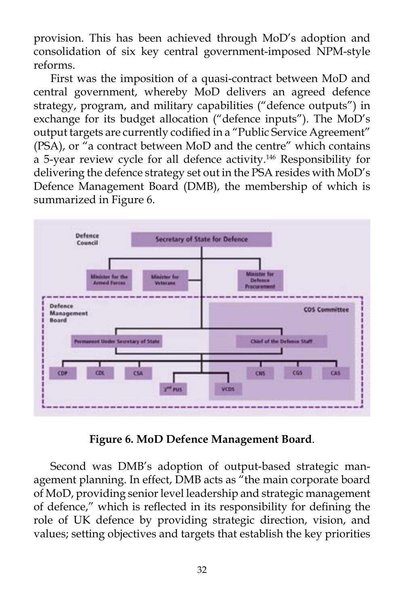provision. This has been achieved through MoD's adoption and consolidation of six key central government-imposed NPM-style reforms.

 First was the imposition of a quasi-contract between MoD and central government, whereby MoD delivers an agreed defence strategy, program, and military capabilities ("defence outputs") in exchange for its budget allocation ("defence inputs"). The MoD's output targets are currently codified in a "Public Service Agreement" (PSA), or "a contract between MoD and the centre" which contains a 5-year review cycle for all defence activity.146 Responsibility for delivering the defence strategy set out in the PSA resides with MoD's Defence Management Board (DMB), the membership of which is summarized in Figure 6.



**Figure 6. MoD Defence Management Board**.

 Second was DMB's adoption of output-based strategic management planning. In effect, DMB acts as "the main corporate board of MoD, providing senior level leadership and strategic management of defence," which is reflected in its responsibility for defining the role of UK defence by providing strategic direction, vision, and values; setting objectives and targets that establish the key priorities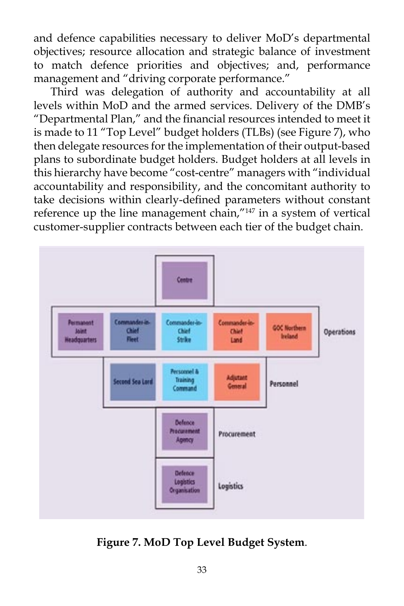and defence capabilities necessary to deliver MoD's departmental objectives; resource allocation and strategic balance of investment to match defence priorities and objectives; and, performance management and "driving corporate performance."

 Third was delegation of authority and accountability at all levels within MoD and the armed services. Delivery of the DMB's "Departmental Plan," and the financial resources intended to meet it is made to 11 "Top Level" budget holders (TLBs) (see Figure 7), who then delegate resources for the implementation of their output-based plans to subordinate budget holders. Budget holders at all levels in this hierarchy have become "cost-centre" managers with "individual accountability and responsibility, and the concomitant authority to take decisions within clearly-defined parameters without constant reference up the line management chain,"<sup>147</sup> in a system of vertical customer-supplier contracts between each tier of the budget chain.



**Figure 7. MoD Top Level Budget System**.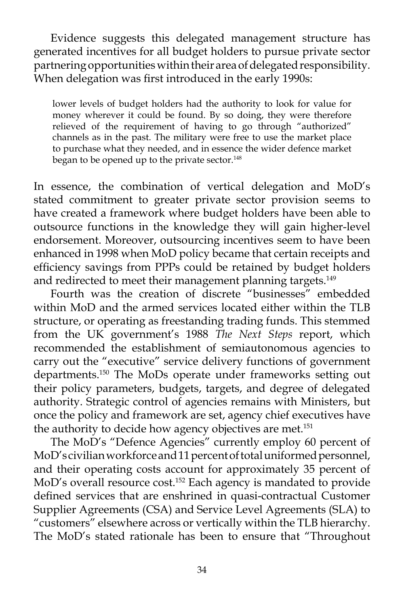Evidence suggests this delegated management structure has generated incentives for all budget holders to pursue private sector partnering opportunities within their area of delegated responsibility. When delegation was first introduced in the early 1990s:

lower levels of budget holders had the authority to look for value for money wherever it could be found. By so doing, they were therefore relieved of the requirement of having to go through "authorized" channels as in the past. The military were free to use the market place to purchase what they needed, and in essence the wider defence market began to be opened up to the private sector.<sup>148</sup>

In essence, the combination of vertical delegation and MoD's stated commitment to greater private sector provision seems to have created a framework where budget holders have been able to outsource functions in the knowledge they will gain higher-level endorsement. Moreover, outsourcing incentives seem to have been enhanced in 1998 when MoD policy became that certain receipts and efficiency savings from PPPs could be retained by budget holders and redirected to meet their management planning targets.<sup>149</sup>

 Fourth was the creation of discrete "businesses" embedded within MoD and the armed services located either within the TLB structure, or operating as freestanding trading funds. This stemmed from the UK government's 1988 *The Next Steps* report, which recommended the establishment of semiautonomous agencies to carry out the "executive" service delivery functions of government departments.150 The MoDs operate under frameworks setting out their policy parameters, budgets, targets, and degree of delegated authority. Strategic control of agencies remains with Ministers, but once the policy and framework are set, agency chief executives have the authority to decide how agency objectives are met.<sup>151</sup>

 The MoD's "Defence Agencies" currently employ 60 percent of MoD's civilian workforce and 11 percent of total uniformed personnel, and their operating costs account for approximately 35 percent of MoD's overall resource cost.152 Each agency is mandated to provide defined services that are enshrined in quasi-contractual Customer Supplier Agreements (CSA) and Service Level Agreements (SLA) to "customers" elsewhere across or vertically within the TLB hierarchy. The MoD's stated rationale has been to ensure that "Throughout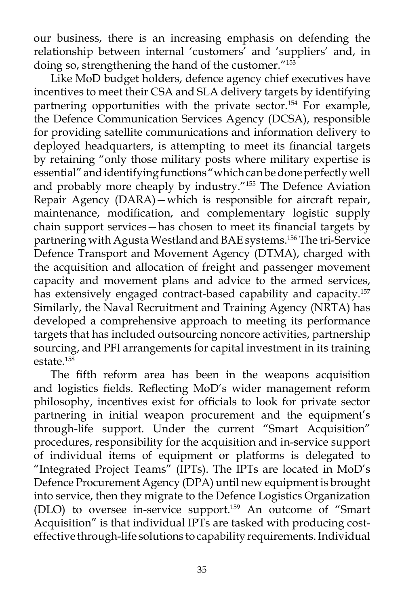our business, there is an increasing emphasis on defending the relationship between internal 'customers' and 'suppliers' and, in doing so, strengthening the hand of the customer."<sup>153</sup>

 Like MoD budget holders, defence agency chief executives have incentives to meet their CSA and SLA delivery targets by identifying partnering opportunities with the private sector.<sup>154</sup> For example, the Defence Communication Services Agency (DCSA), responsible for providing satellite communications and information delivery to deployed headquarters, is attempting to meet its financial targets by retaining "only those military posts where military expertise is essential" and identifying functions "which can be done perfectly well and probably more cheaply by industry."155 The Defence Aviation Repair Agency (DARA)—which is responsible for aircraft repair, maintenance, modification, and complementary logistic supply chain support services—has chosen to meet its financial targets by partnering with Agusta Westland and BAE systems.156 The tri-Service Defence Transport and Movement Agency (DTMA), charged with the acquisition and allocation of freight and passenger movement capacity and movement plans and advice to the armed services, has extensively engaged contract-based capability and capacity.<sup>157</sup> Similarly, the Naval Recruitment and Training Agency (NRTA) has developed a comprehensive approach to meeting its performance targets that has included outsourcing noncore activities, partnership sourcing, and PFI arrangements for capital investment in its training estate  $158$ 

 The fifth reform area has been in the weapons acquisition and logistics fields. Reflecting MoD's wider management reform philosophy, incentives exist for officials to look for private sector partnering in initial weapon procurement and the equipment's through-life support. Under the current "Smart Acquisition" procedures, responsibility for the acquisition and in-service support of individual items of equipment or platforms is delegated to "Integrated Project Teams" (IPTs). The IPTs are located in MoD's Defence Procurement Agency (DPA) until new equipment is brought into service, then they migrate to the Defence Logistics Organization (DLO) to oversee in-service support.159 An outcome of "Smart Acquisition" is that individual IPTs are tasked with producing costeffective through-life solutions to capability requirements. Individual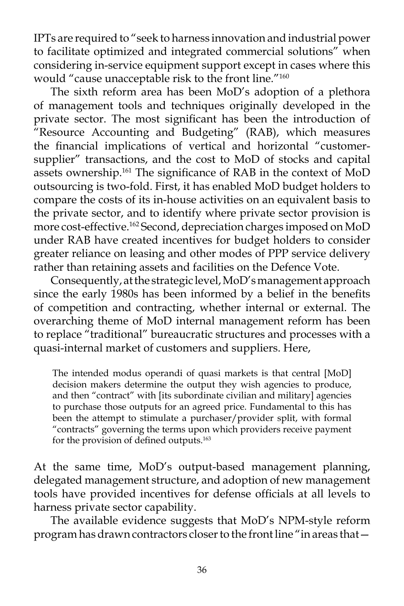IPTs are required to "seek to harness innovation and industrial power to facilitate optimized and integrated commercial solutions" when considering in-service equipment support except in cases where this would "cause unacceptable risk to the front line."160

 The sixth reform area has been MoD's adoption of a plethora of management tools and techniques originally developed in the private sector. The most significant has been the introduction of "Resource Accounting and Budgeting" (RAB), which measures the financial implications of vertical and horizontal "customersupplier" transactions, and the cost to MoD of stocks and capital assets ownership.<sup>161</sup> The significance of RAB in the context of MoD outsourcing is two-fold. First, it has enabled MoD budget holders to compare the costs of its in-house activities on an equivalent basis to the private sector, and to identify where private sector provision is more cost-effective.162 Second, depreciation charges imposed on MoD under RAB have created incentives for budget holders to consider greater reliance on leasing and other modes of PPP service delivery rather than retaining assets and facilities on the Defence Vote.

 Consequently, at the strategic level, MoD's management approach since the early 1980s has been informed by a belief in the benefits of competition and contracting, whether internal or external. The overarching theme of MoD internal management reform has been to replace "traditional" bureaucratic structures and processes with a quasi-internal market of customers and suppliers. Here,

The intended modus operandi of quasi markets is that central [MoD] decision makers determine the output they wish agencies to produce, and then "contract" with [its subordinate civilian and military] agencies to purchase those outputs for an agreed price. Fundamental to this has been the attempt to stimulate a purchaser/provider split, with formal "contracts" governing the terms upon which providers receive payment for the provision of defined outputs.<sup>163</sup>

At the same time, MoD's output-based management planning, delegated management structure, and adoption of new management tools have provided incentives for defense officials at all levels to harness private sector capability.

 The available evidence suggests that MoD's NPM-style reform program has drawn contractors closer to the front line "in areas that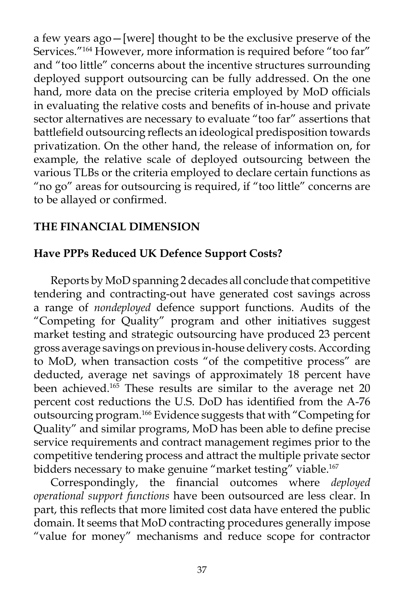a few years ago—[were] thought to be the exclusive preserve of the Services."<sup>164</sup> However, more information is required before "too far" and "too little" concerns about the incentive structures surrounding deployed support outsourcing can be fully addressed. On the one hand, more data on the precise criteria employed by MoD officials in evaluating the relative costs and benefits of in-house and private sector alternatives are necessary to evaluate "too far" assertions that battlefield outsourcing reflects an ideological predisposition towards privatization. On the other hand, the release of information on, for example, the relative scale of deployed outsourcing between the various TLBs or the criteria employed to declare certain functions as "no go" areas for outsourcing is required, if "too little" concerns are to be allayed or confirmed.

# **THE FINANCIAL DIMENSION**

## **Have PPPs Reduced UK Defence Support Costs?**

 Reports by MoD spanning 2 decades all conclude that competitive tendering and contracting-out have generated cost savings across a range of *nondeployed* defence support functions. Audits of the "Competing for Quality" program and other initiatives suggest market testing and strategic outsourcing have produced 23 percent gross average savings on previous in-house delivery costs. According to MoD, when transaction costs "of the competitive process" are deducted, average net savings of approximately 18 percent have been achieved.<sup>165</sup> These results are similar to the average net 20 percent cost reductions the U.S. DoD has identified from the A-76 outsourcing program.166 Evidence suggests that with "Competing for Quality" and similar programs, MoD has been able to define precise service requirements and contract management regimes prior to the competitive tendering process and attract the multiple private sector bidders necessary to make genuine "market testing" viable.<sup>167</sup>

 Correspondingly, the financial outcomes where *deployed operational support functions* have been outsourced are less clear. In part, this reflects that more limited cost data have entered the public domain. It seems that MoD contracting procedures generally impose "value for money" mechanisms and reduce scope for contractor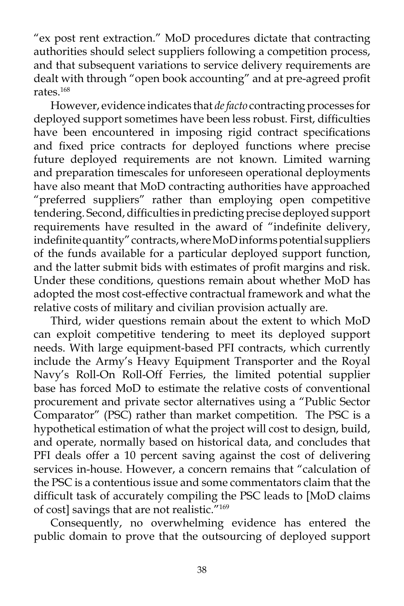"ex post rent extraction." MoD procedures dictate that contracting authorities should select suppliers following a competition process, and that subsequent variations to service delivery requirements are dealt with through "open book accounting" and at pre-agreed profit rates.168

 However, evidence indicates that *de facto* contracting processes for deployed support sometimes have been less robust. First, difficulties have been encountered in imposing rigid contract specifications and fixed price contracts for deployed functions where precise future deployed requirements are not known. Limited warning and preparation timescales for unforeseen operational deployments have also meant that MoD contracting authorities have approached "preferred suppliers" rather than employing open competitive tendering. Second, difficulties in predicting precise deployed support requirements have resulted in the award of "indefinite delivery, indefinite quantity" contracts, where MoD informs potential suppliers of the funds available for a particular deployed support function, and the latter submit bids with estimates of profit margins and risk. Under these conditions, questions remain about whether MoD has adopted the most cost-effective contractual framework and what the relative costs of military and civilian provision actually are.

 Third, wider questions remain about the extent to which MoD can exploit competitive tendering to meet its deployed support needs. With large equipment-based PFI contracts, which currently include the Army's Heavy Equipment Transporter and the Royal Navy's Roll-On Roll-Off Ferries, the limited potential supplier base has forced MoD to estimate the relative costs of conventional procurement and private sector alternatives using a "Public Sector Comparator" (PSC) rather than market competition. The PSC is a hypothetical estimation of what the project will cost to design, build, and operate, normally based on historical data, and concludes that PFI deals offer a 10 percent saving against the cost of delivering services in-house. However, a concern remains that "calculation of the PSC is a contentious issue and some commentators claim that the difficult task of accurately compiling the PSC leads to [MoD claims of cost] savings that are not realistic."169

 Consequently, no overwhelming evidence has entered the public domain to prove that the outsourcing of deployed support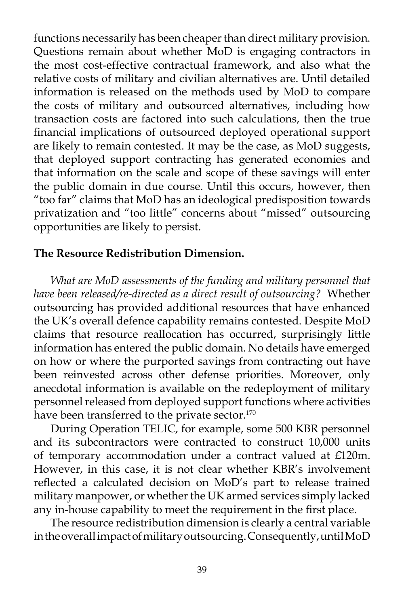functions necessarily has been cheaper than direct military provision. Questions remain about whether MoD is engaging contractors in the most cost-effective contractual framework, and also what the relative costs of military and civilian alternatives are. Until detailed information is released on the methods used by MoD to compare the costs of military and outsourced alternatives, including how transaction costs are factored into such calculations, then the true financial implications of outsourced deployed operational support are likely to remain contested. It may be the case, as MoD suggests, that deployed support contracting has generated economies and that information on the scale and scope of these savings will enter the public domain in due course. Until this occurs, however, then "too far" claims that MoD has an ideological predisposition towards privatization and "too little" concerns about "missed" outsourcing opportunities are likely to persist.

#### **The Resource Redistribution Dimension.**

*What are MoD assessments of the funding and military personnel that have been released/re-directed as a direct result of outsourcing?* Whether outsourcing has provided additional resources that have enhanced the UK's overall defence capability remains contested. Despite MoD claims that resource reallocation has occurred, surprisingly little information has entered the public domain. No details have emerged on how or where the purported savings from contracting out have been reinvested across other defense priorities. Moreover, only anecdotal information is available on the redeployment of military personnel released from deployed support functions where activities have been transferred to the private sector.<sup>170</sup>

 During Operation TELIC, for example, some 500 KBR personnel and its subcontractors were contracted to construct 10,000 units of temporary accommodation under a contract valued at £120m. However, in this case, it is not clear whether KBR's involvement reflected a calculated decision on MoD's part to release trained military manpower, or whether the UK armed services simply lacked any in-house capability to meet the requirement in the first place.

 The resource redistribution dimension is clearly a central variable in the overall impact of military outsourcing. Consequently, until MoD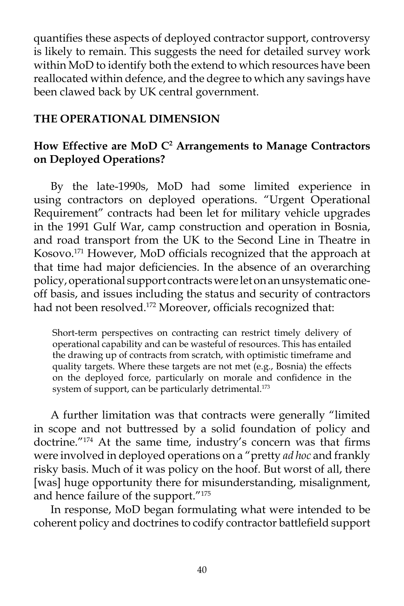quantifies these aspects of deployed contractor support, controversy is likely to remain. This suggests the need for detailed survey work within MoD to identify both the extend to which resources have been reallocated within defence, and the degree to which any savings have been clawed back by UK central government.

### **THE OPERATIONAL DIMENSION**

## How Effective are MoD C<sup>2</sup> Arrangements to Manage Contractors **on Deployed Operations?**

 By the late-1990s, MoD had some limited experience in using contractors on deployed operations. "Urgent Operational Requirement" contracts had been let for military vehicle upgrades in the 1991 Gulf War, camp construction and operation in Bosnia, and road transport from the UK to the Second Line in Theatre in Kosovo.171 However, MoD officials recognized that the approach at that time had major deficiencies. In the absence of an overarching policy, operational support contracts were let on an unsystematic oneoff basis, and issues including the status and security of contractors had not been resolved.<sup>172</sup> Moreover, officials recognized that:

Short-term perspectives on contracting can restrict timely delivery of operational capability and can be wasteful of resources. This has entailed the drawing up of contracts from scratch, with optimistic timeframe and quality targets. Where these targets are not met (e.g., Bosnia) the effects on the deployed force, particularly on morale and confidence in the system of support, can be particularly detrimental.<sup>173</sup>

 A further limitation was that contracts were generally "limited in scope and not buttressed by a solid foundation of policy and doctrine."174 At the same time, industry's concern was that firms were involved in deployed operations on a "pretty *ad hoc* and frankly risky basis. Much of it was policy on the hoof. But worst of all, there [was] huge opportunity there for misunderstanding, misalignment, and hence failure of the support."175

 In response, MoD began formulating what were intended to be coherent policy and doctrines to codify contractor battlefield support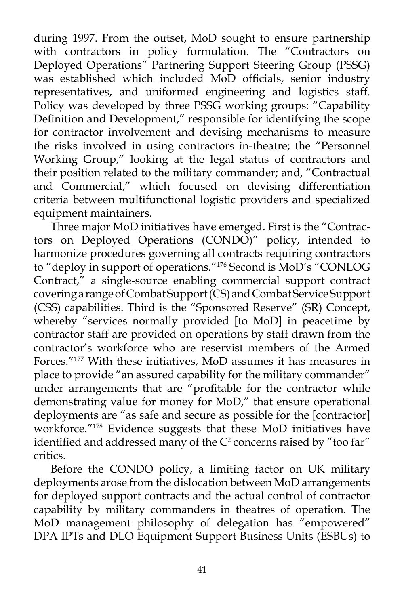during 1997. From the outset, MoD sought to ensure partnership with contractors in policy formulation. The "Contractors on Deployed Operations" Partnering Support Steering Group (PSSG) was established which included MoD officials, senior industry representatives, and uniformed engineering and logistics staff. Policy was developed by three PSSG working groups: "Capability Definition and Development," responsible for identifying the scope for contractor involvement and devising mechanisms to measure the risks involved in using contractors in-theatre; the "Personnel Working Group," looking at the legal status of contractors and their position related to the military commander; and, "Contractual and Commercial," which focused on devising differentiation criteria between multifunctional logistic providers and specialized equipment maintainers.

 Three major MoD initiatives have emerged. First is the "Contractors on Deployed Operations (CONDO)" policy, intended to harmonize procedures governing all contracts requiring contractors to "deploy in support of operations."176 Second is MoD's "CONLOG Contract," a single-source enabling commercial support contract covering a range of Combat Support (CS) and Combat Service Support (CSS) capabilities. Third is the "Sponsored Reserve" (SR) Concept, whereby "services normally provided [to MoD] in peacetime by contractor staff are provided on operations by staff drawn from the contractor's workforce who are reservist members of the Armed Forces."177 With these initiatives, MoD assumes it has measures in place to provide "an assured capability for the military commander" under arrangements that are "profitable for the contractor while demonstrating value for money for MoD," that ensure operational deployments are "as safe and secure as possible for the [contractor] workforce."178 Evidence suggests that these MoD initiatives have identified and addressed many of the  $\mathrm{C}^2$  concerns raised by "too far" critics.

 Before the CONDO policy, a limiting factor on UK military deployments arose from the dislocation between MoD arrangements for deployed support contracts and the actual control of contractor capability by military commanders in theatres of operation. The MoD management philosophy of delegation has "empowered" DPA IPTs and DLO Equipment Support Business Units (ESBUs) to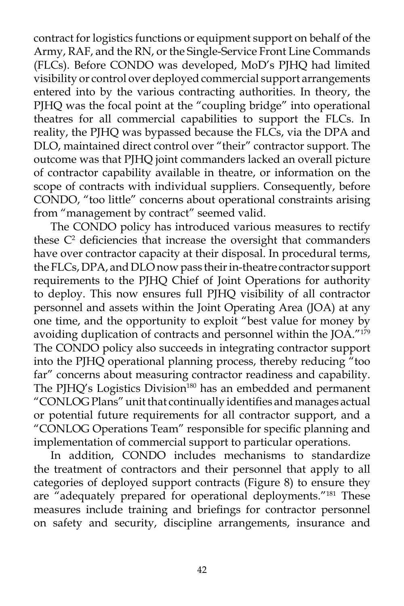contract for logistics functions or equipment support on behalf of the Army, RAF, and the RN, or the Single-Service Front Line Commands (FLCs). Before CONDO was developed, MoD's PJHQ had limited visibility or control over deployed commercial support arrangements entered into by the various contracting authorities. In theory, the PJHQ was the focal point at the "coupling bridge" into operational theatres for all commercial capabilities to support the FLCs. In reality, the PJHQ was bypassed because the FLCs, via the DPA and DLO, maintained direct control over "their" contractor support. The outcome was that PJHQ joint commanders lacked an overall picture of contractor capability available in theatre, or information on the scope of contracts with individual suppliers. Consequently, before CONDO, "too little" concerns about operational constraints arising from "management by contract" seemed valid.

 The CONDO policy has introduced various measures to rectify these  $C<sup>2</sup>$  deficiencies that increase the oversight that commanders have over contractor capacity at their disposal. In procedural terms, the FLCs, DPA, and DLO now pass their in-theatre contractor support requirements to the PJHQ Chief of Joint Operations for authority to deploy. This now ensures full PJHQ visibility of all contractor personnel and assets within the Joint Operating Area (JOA) at any one time, and the opportunity to exploit "best value for money by avoiding duplication of contracts and personnel within the JOA."<sup>179</sup> The CONDO policy also succeeds in integrating contractor support into the PJHQ operational planning process, thereby reducing "too far" concerns about measuring contractor readiness and capability. The PJHQ's Logistics Division<sup>180</sup> has an embedded and permanent "CONLOG Plans" unit that continually identifies and manages actual or potential future requirements for all contractor support, and a "CONLOG Operations Team" responsible for specific planning and implementation of commercial support to particular operations.

 In addition, CONDO includes mechanisms to standardize the treatment of contractors and their personnel that apply to all categories of deployed support contracts (Figure 8) to ensure they are "adequately prepared for operational deployments."181 These measures include training and briefings for contractor personnel on safety and security, discipline arrangements, insurance and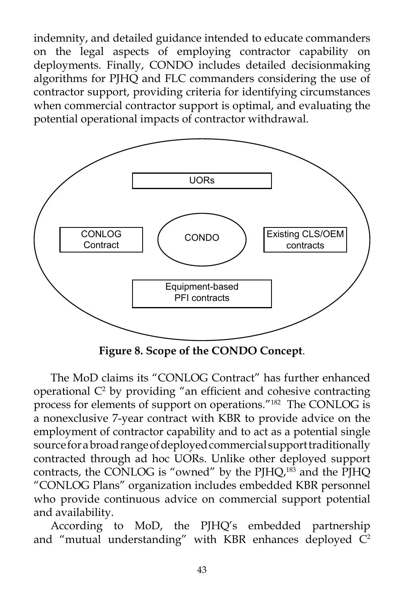indemnity, and detailed guidance intended to educate commanders on the legal aspects of employing contractor capability on deployments. Finally, CONDO includes detailed decisionmaking algorithms for PJHQ and FLC commanders considering the use of contractor support, providing criteria for identifying circumstances when commercial contractor support is optimal, and evaluating the potential operational impacts of contractor withdrawal.



**Figure 8. Scope of the CONDO Concept**.

 The MoD claims its "CONLOG Contract" has further enhanced operational  $C<sup>2</sup>$  by providing "an efficient and cohesive contracting process for elements of support on operations."182 The CONLOG is a nonexclusive 7-year contract with KBR to provide advice on the employment of contractor capability and to act as a potential single source for a broad range of deployed commercial support traditionally contracted through ad hoc UORs. Unlike other deployed support contracts, the CONLOG is "owned" by the PJHQ,<sup>183</sup> and the PJHQ "CONLOG Plans" organization includes embedded KBR personnel who provide continuous advice on commercial support potential and availability.

 According to MoD, the PJHQ's embedded partnership and "mutual understanding" with KBR enhances deployed  $\overline{C}^2$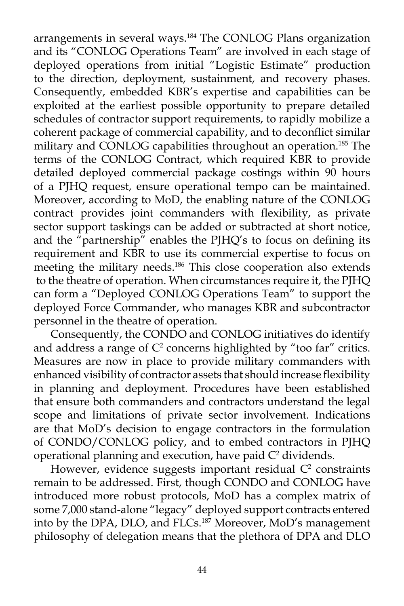arrangements in several ways.<sup>184</sup> The CONLOG Plans organization and its "CONLOG Operations Team" are involved in each stage of deployed operations from initial "Logistic Estimate" production to the direction, deployment, sustainment, and recovery phases. Consequently, embedded KBR's expertise and capabilities can be exploited at the earliest possible opportunity to prepare detailed schedules of contractor support requirements, to rapidly mobilize a coherent package of commercial capability, and to deconflict similar military and CONLOG capabilities throughout an operation.185 The terms of the CONLOG Contract, which required KBR to provide detailed deployed commercial package costings within 90 hours of a PJHQ request, ensure operational tempo can be maintained. Moreover, according to MoD, the enabling nature of the CONLOG contract provides joint commanders with flexibility, as private sector support taskings can be added or subtracted at short notice, and the "partnership" enables the PJHQ's to focus on defining its requirement and KBR to use its commercial expertise to focus on meeting the military needs.<sup>186</sup> This close cooperation also extends to the theatre of operation. When circumstances require it, the PJHQ can form a "Deployed CONLOG Operations Team" to support the deployed Force Commander, who manages KBR and subcontractor personnel in the theatre of operation.

 Consequently, the CONDO and CONLOG initiatives do identify and address a range of  $C^2$  concerns highlighted by "too far" critics. Measures are now in place to provide military commanders with enhanced visibility of contractor assets that should increase flexibility in planning and deployment. Procedures have been established that ensure both commanders and contractors understand the legal scope and limitations of private sector involvement. Indications are that MoD's decision to engage contractors in the formulation of CONDO/CONLOG policy, and to embed contractors in PJHQ operational planning and execution, have paid  $C<sup>2</sup>$  dividends.

However, evidence suggests important residual  $C<sup>2</sup>$  constraints remain to be addressed. First, though CONDO and CONLOG have introduced more robust protocols, MoD has a complex matrix of some 7,000 stand-alone "legacy" deployed support contracts entered into by the DPA, DLO, and FLCs.187 Moreover, MoD's management philosophy of delegation means that the plethora of DPA and DLO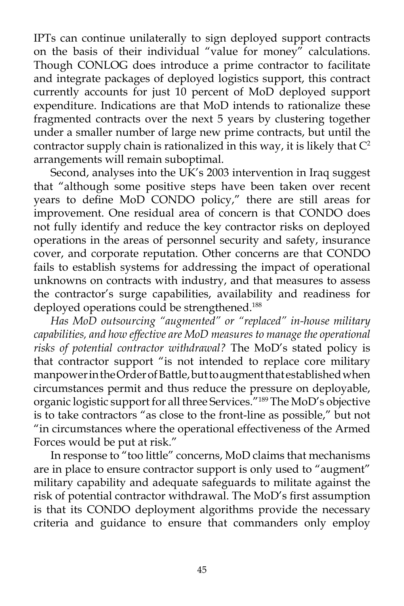IPTs can continue unilaterally to sign deployed support contracts on the basis of their individual "value for money" calculations. Though CONLOG does introduce a prime contractor to facilitate and integrate packages of deployed logistics support, this contract currently accounts for just 10 percent of MoD deployed support expenditure. Indications are that MoD intends to rationalize these fragmented contracts over the next 5 years by clustering together under a smaller number of large new prime contracts, but until the contractor supply chain is rationalized in this way, it is likely that  $C<sup>2</sup>$ arrangements will remain suboptimal.

 Second, analyses into the UK's 2003 intervention in Iraq suggest that "although some positive steps have been taken over recent years to define MoD CONDO policy," there are still areas for improvement. One residual area of concern is that CONDO does not fully identify and reduce the key contractor risks on deployed operations in the areas of personnel security and safety, insurance cover, and corporate reputation. Other concerns are that CONDO fails to establish systems for addressing the impact of operational unknowns on contracts with industry, and that measures to assess the contractor's surge capabilities, availability and readiness for deployed operations could be strengthened.<sup>188</sup>

*Has MoD outsourcing "augmented" or "replaced" in-house military capabilities, and how effective are MoD measures to manage the operational risks of potential contractor withdrawal?* The MoD's stated policy is that contractor support "is not intended to replace core military manpower in the Order of Battle, but to augment that established when circumstances permit and thus reduce the pressure on deployable, organic logistic support for all three Services."189 The MoD's objective is to take contractors "as close to the front-line as possible," but not "in circumstances where the operational effectiveness of the Armed Forces would be put at risk."

 In response to "too little" concerns, MoD claims that mechanisms are in place to ensure contractor support is only used to "augment" military capability and adequate safeguards to militate against the risk of potential contractor withdrawal. The MoD's first assumption is that its CONDO deployment algorithms provide the necessary criteria and guidance to ensure that commanders only employ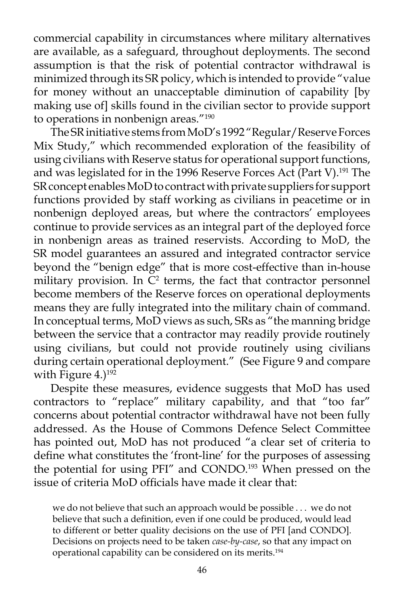commercial capability in circumstances where military alternatives are available, as a safeguard, throughout deployments. The second assumption is that the risk of potential contractor withdrawal is minimized through its SR policy, which is intended to provide "value for money without an unacceptable diminution of capability [by making use of] skills found in the civilian sector to provide support to operations in nonbenign areas."190

 The SR initiative stems from MoD's 1992 "Regular/Reserve Forces Mix Study," which recommended exploration of the feasibility of using civilians with Reserve status for operational support functions, and was legislated for in the 1996 Reserve Forces Act (Part V).<sup>191</sup> The SR concept enables MoD to contract with private suppliers for support functions provided by staff working as civilians in peacetime or in nonbenign deployed areas, but where the contractors' employees continue to provide services as an integral part of the deployed force in nonbenign areas as trained reservists. According to MoD, the SR model guarantees an assured and integrated contractor service beyond the "benign edge" that is more cost-effective than in-house military provision. In  $C<sup>2</sup>$  terms, the fact that contractor personnel become members of the Reserve forces on operational deployments means they are fully integrated into the military chain of command. In conceptual terms, MoD views as such, SRs as "the manning bridge between the service that a contractor may readily provide routinely using civilians, but could not provide routinely using civilians during certain operational deployment." (See Figure 9 and compare with Figure  $4.1192$ 

 Despite these measures, evidence suggests that MoD has used contractors to "replace" military capability, and that "too far" concerns about potential contractor withdrawal have not been fully addressed. As the House of Commons Defence Select Committee has pointed out, MoD has not produced "a clear set of criteria to define what constitutes the 'front-line' for the purposes of assessing the potential for using PFI" and CONDO.<sup>193</sup> When pressed on the issue of criteria MoD officials have made it clear that:

we do not believe that such an approach would be possible . . . we do not believe that such a definition, even if one could be produced, would lead to different or better quality decisions on the use of PFI [and CONDO]. Decisions on projects need to be taken *case-by-case*, so that any impact on operational capability can be considered on its merits.194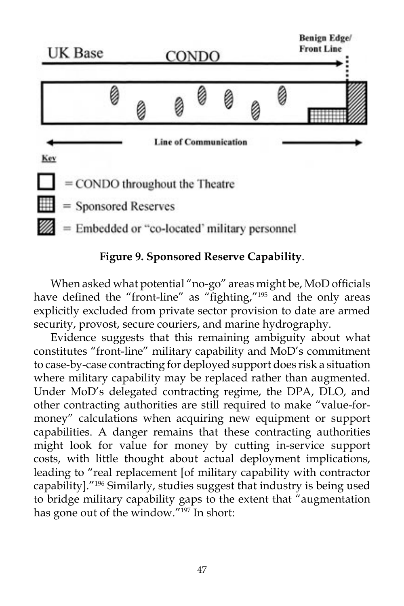

#### **Figure 9. Sponsored Reserve Capability**.

 When asked what potential "no-go" areas might be, MoD officials have defined the "front-line" as "fighting,"<sup>195</sup> and the only areas explicitly excluded from private sector provision to date are armed security, provost, secure couriers, and marine hydrography.

 Evidence suggests that this remaining ambiguity about what constitutes "front-line" military capability and MoD's commitment to case-by-case contracting for deployed support does risk a situation where military capability may be replaced rather than augmented. Under MoD's delegated contracting regime, the DPA, DLO, and other contracting authorities are still required to make "value-formoney" calculations when acquiring new equipment or support capabilities. A danger remains that these contracting authorities might look for value for money by cutting in-service support costs, with little thought about actual deployment implications, leading to "real replacement [of military capability with contractor capability]."196 Similarly, studies suggest that industry is being used to bridge military capability gaps to the extent that "augmentation has gone out of the window."197 In short: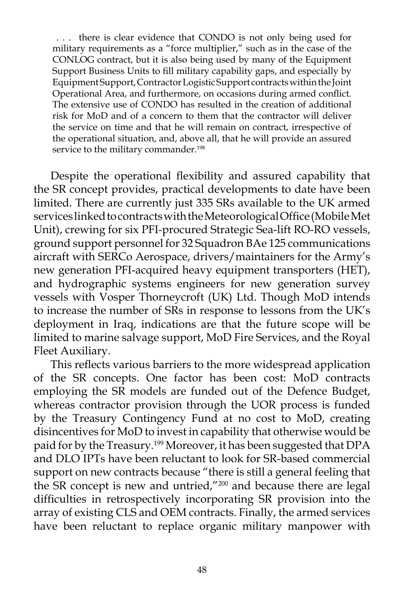. . . there is clear evidence that CONDO is not only being used for military requirements as a "force multiplier," such as in the case of the CONLOG contract, but it is also being used by many of the Equipment Support Business Units to fill military capability gaps, and especially by Equipment Support, Contractor Logistic Support contracts within the Joint Operational Area, and furthermore, on occasions during armed conflict. The extensive use of CONDO has resulted in the creation of additional risk for MoD and of a concern to them that the contractor will deliver the service on time and that he will remain on contract, irrespective of the operational situation, and, above all, that he will provide an assured service to the military commander.<sup>198</sup>

 Despite the operational flexibility and assured capability that the SR concept provides, practical developments to date have been limited. There are currently just 335 SRs available to the UK armed services linked to contracts with the Meteorological Office (Mobile Met Unit), crewing for six PFI-procured Strategic Sea-lift RO-RO vessels, ground support personnel for 32 Squadron BAe 125 communications aircraft with SERCo Aerospace, drivers/maintainers for the Army's new generation PFI-acquired heavy equipment transporters (HET), and hydrographic systems engineers for new generation survey vessels with Vosper Thorneycroft (UK) Ltd. Though MoD intends to increase the number of SRs in response to lessons from the UK's deployment in Iraq, indications are that the future scope will be limited to marine salvage support, MoD Fire Services, and the Royal Fleet Auxiliary.

 This reflects various barriers to the more widespread application of the SR concepts. One factor has been cost: MoD contracts employing the SR models are funded out of the Defence Budget, whereas contractor provision through the UOR process is funded by the Treasury Contingency Fund at no cost to MoD, creating disincentives for MoD to invest in capability that otherwise would be paid for by the Treasury.<sup>199</sup> Moreover, it has been suggested that DPA and DLO IPTs have been reluctant to look for SR-based commercial support on new contracts because "there is still a general feeling that the SR concept is new and untried,"<sup>200</sup> and because there are legal difficulties in retrospectively incorporating SR provision into the array of existing CLS and OEM contracts. Finally, the armed services have been reluctant to replace organic military manpower with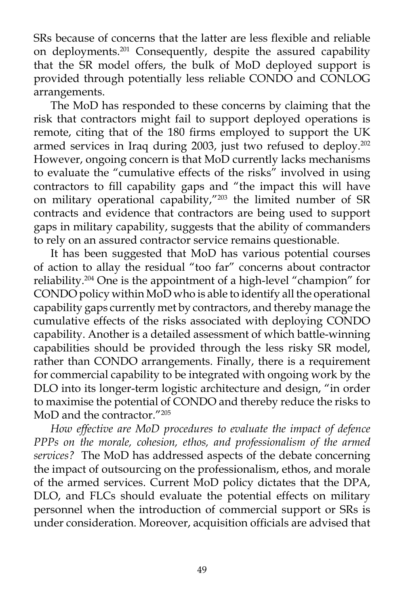SRs because of concerns that the latter are less flexible and reliable on deployments.<sup>201</sup> Consequently, despite the assured capability that the SR model offers, the bulk of MoD deployed support is provided through potentially less reliable CONDO and CONLOG arrangements.

 The MoD has responded to these concerns by claiming that the risk that contractors might fail to support deployed operations is remote, citing that of the 180 firms employed to support the UK armed services in Iraq during 2003, just two refused to deploy.<sup>202</sup> However, ongoing concern is that MoD currently lacks mechanisms to evaluate the "cumulative effects of the risks" involved in using contractors to fill capability gaps and "the impact this will have on military operational capability,"203 the limited number of SR contracts and evidence that contractors are being used to support gaps in military capability, suggests that the ability of commanders to rely on an assured contractor service remains questionable.

 It has been suggested that MoD has various potential courses of action to allay the residual "too far" concerns about contractor reliability.204 One is the appointment of a high-level "champion" for CONDO policy within MoD who is able to identify all the operational capability gaps currently met by contractors, and thereby manage the cumulative effects of the risks associated with deploying CONDO capability. Another is a detailed assessment of which battle-winning capabilities should be provided through the less risky SR model, rather than CONDO arrangements. Finally, there is a requirement for commercial capability to be integrated with ongoing work by the DLO into its longer-term logistic architecture and design, "in order to maximise the potential of CONDO and thereby reduce the risks to MoD and the contractor."205

*How effective are MoD procedures to evaluate the impact of defence PPPs on the morale, cohesion, ethos, and professionalism of the armed services?* The MoD has addressed aspects of the debate concerning the impact of outsourcing on the professionalism, ethos, and morale of the armed services. Current MoD policy dictates that the DPA, DLO, and FLCs should evaluate the potential effects on military personnel when the introduction of commercial support or SRs is under consideration. Moreover, acquisition officials are advised that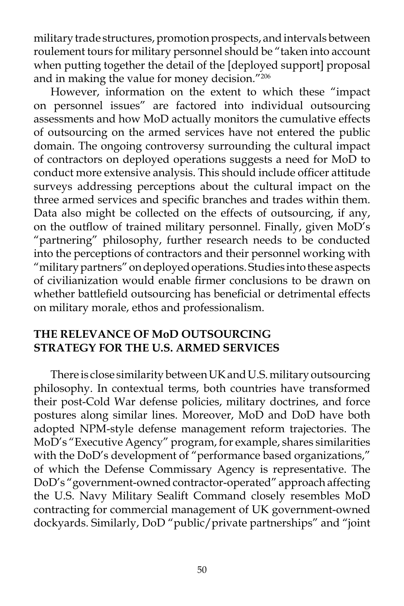military trade structures, promotion prospects, and intervals between roulement tours for military personnel should be "taken into account when putting together the detail of the [deployed support] proposal and in making the value for money decision."206

 However, information on the extent to which these "impact on personnel issues" are factored into individual outsourcing assessments and how MoD actually monitors the cumulative effects of outsourcing on the armed services have not entered the public domain. The ongoing controversy surrounding the cultural impact of contractors on deployed operations suggests a need for MoD to conduct more extensive analysis. This should include officer attitude surveys addressing perceptions about the cultural impact on the three armed services and specific branches and trades within them. Data also might be collected on the effects of outsourcing, if any, on the outflow of trained military personnel. Finally, given MoD's "partnering" philosophy, further research needs to be conducted into the perceptions of contractors and their personnel working with "military partners" on deployed operations. Studies into these aspects of civilianization would enable firmer conclusions to be drawn on whether battlefield outsourcing has beneficial or detrimental effects on military morale, ethos and professionalism.

#### **THE RELEVANCE OF MoD OUTSOURCING STRATEGY FOR THE U.S. ARMED SERVICES**

 There is close similarity between UK and U.S. military outsourcing philosophy. In contextual terms, both countries have transformed their post-Cold War defense policies, military doctrines, and force postures along similar lines. Moreover, MoD and DoD have both adopted NPM-style defense management reform trajectories. The MoD's "Executive Agency" program, for example, shares similarities with the DoD's development of "performance based organizations," of which the Defense Commissary Agency is representative. The DoD's "government-owned contractor-operated" approach affecting the U.S. Navy Military Sealift Command closely resembles MoD contracting for commercial management of UK government-owned dockyards. Similarly, DoD "public/private partnerships" and "joint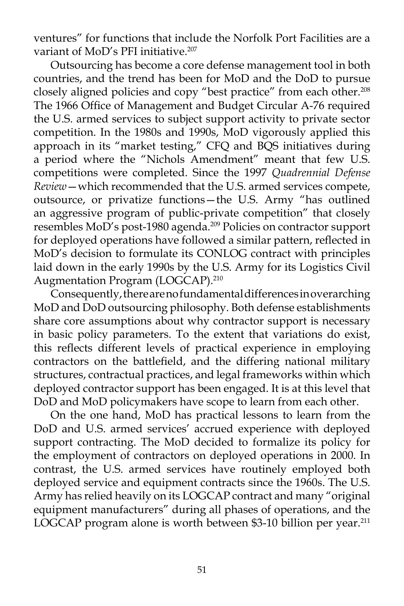ventures" for functions that include the Norfolk Port Facilities are a variant of MoD's PFI initiative.<sup>207</sup>

 Outsourcing has become a core defense management tool in both countries, and the trend has been for MoD and the DoD to pursue closely aligned policies and copy "best practice" from each other.<sup>208</sup> The 1966 Office of Management and Budget Circular A-76 required the U.S. armed services to subject support activity to private sector competition. In the 1980s and 1990s, MoD vigorously applied this approach in its "market testing," CFQ and BQS initiatives during a period where the "Nichols Amendment" meant that few U.S. competitions were completed. Since the 1997 *Quadrennial Defense Review*—which recommended that the U.S. armed services compete, outsource, or privatize functions—the U.S. Army "has outlined an aggressive program of public-private competition" that closely resembles MoD's post-1980 agenda.<sup>209</sup> Policies on contractor support for deployed operations have followed a similar pattern, reflected in MoD's decision to formulate its CONLOG contract with principles laid down in the early 1990s by the U.S. Army for its Logistics Civil Augmentation Program (LOGCAP).<sup>210</sup>

 Consequently, there are no fundamental differences in overarching MoD and DoD outsourcing philosophy. Both defense establishments share core assumptions about why contractor support is necessary in basic policy parameters. To the extent that variations do exist, this reflects different levels of practical experience in employing contractors on the battlefield, and the differing national military structures, contractual practices, and legal frameworks within which deployed contractor support has been engaged. It is at this level that DoD and MoD policymakers have scope to learn from each other.

 On the one hand, MoD has practical lessons to learn from the DoD and U.S. armed services' accrued experience with deployed support contracting. The MoD decided to formalize its policy for the employment of contractors on deployed operations in 2000. In contrast, the U.S. armed services have routinely employed both deployed service and equipment contracts since the 1960s. The U.S. Army has relied heavily on its LOGCAP contract and many "original equipment manufacturers" during all phases of operations, and the LOGCAP program alone is worth between \$3-10 billion per year.<sup>211</sup>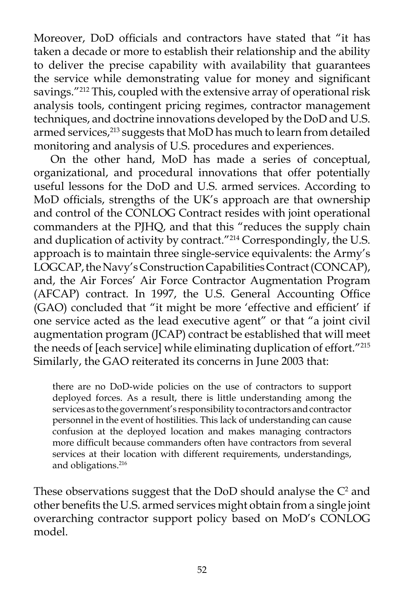Moreover, DoD officials and contractors have stated that "it has taken a decade or more to establish their relationship and the ability to deliver the precise capability with availability that guarantees the service while demonstrating value for money and significant savings."<sup>212</sup> This, coupled with the extensive array of operational risk analysis tools, contingent pricing regimes, contractor management techniques, and doctrine innovations developed by the DoD and U.S. armed services,<sup>213</sup> suggests that MoD has much to learn from detailed monitoring and analysis of U.S. procedures and experiences.

 On the other hand, MoD has made a series of conceptual, organizational, and procedural innovations that offer potentially useful lessons for the DoD and U.S. armed services. According to MoD officials, strengths of the UK's approach are that ownership and control of the CONLOG Contract resides with joint operational commanders at the PJHQ, and that this "reduces the supply chain and duplication of activity by contract."<sup>214</sup> Correspondingly, the U.S. approach is to maintain three single-service equivalents: the Army's LOGCAP, the Navy's Construction Capabilities Contract (CONCAP), and, the Air Forces' Air Force Contractor Augmentation Program (AFCAP) contract. In 1997, the U.S. General Accounting Office (GAO) concluded that "it might be more 'effective and efficient' if one service acted as the lead executive agent" or that "a joint civil augmentation program (JCAP) contract be established that will meet the needs of [each service] while eliminating duplication of effort."215 Similarly, the GAO reiterated its concerns in June 2003 that:

there are no DoD-wide policies on the use of contractors to support deployed forces. As a result, there is little understanding among the services as to the government's responsibility to contractors and contractor personnel in the event of hostilities. This lack of understanding can cause confusion at the deployed location and makes managing contractors more difficult because commanders often have contractors from several services at their location with different requirements, understandings, and obligations.<sup>216</sup>

These observations suggest that the  $DoD$  should analyse the  $C^2$  and other benefits the U.S. armed services might obtain from a single joint overarching contractor support policy based on MoD's CONLOG model.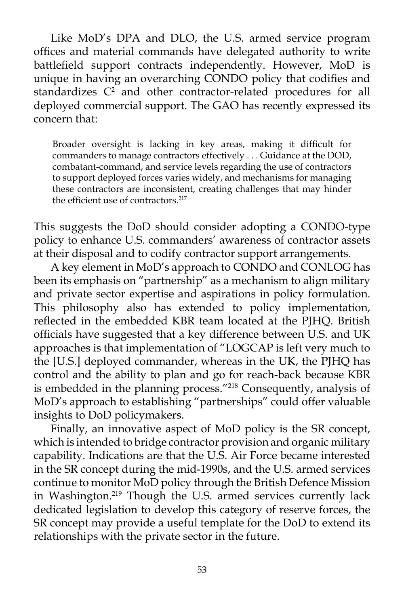Like MoD's DPA and DLO, the U.S. armed service program offices and material commands have delegated authority to write battlefield support contracts independently. However, MoD is unique in having an overarching CONDO policy that codifies and standardizes C<sup>2</sup> and other contractor-related procedures for all deployed commercial support. The GAO has recently expressed its concern that:

Broader oversight is lacking in key areas, making it difficult for commanders to manage contractors effectively . . . Guidance at the DOD, combatant-command, and service levels regarding the use of contractors to support deployed forces varies widely, and mechanisms for managing these contractors are inconsistent, creating challenges that may hinder the efficient use of contractors.<sup>217</sup>

This suggests the DoD should consider adopting a CONDO-type policy to enhance U.S. commanders' awareness of contractor assets at their disposal and to codify contractor support arrangements.

 A key element in MoD's approach to CONDO and CONLOG has been its emphasis on "partnership" as a mechanism to align military and private sector expertise and aspirations in policy formulation. This philosophy also has extended to policy implementation, reflected in the embedded KBR team located at the PJHQ. British officials have suggested that a key difference between U.S. and UK approaches is that implementation of "LOGCAP is left very much to the [U.S.] deployed commander, whereas in the UK, the PJHQ has control and the ability to plan and go for reach-back because KBR is embedded in the planning process."<sup>218</sup> Consequently, analysis of MoD's approach to establishing "partnerships" could offer valuable insights to DoD policymakers.

 Finally, an innovative aspect of MoD policy is the SR concept, which is intended to bridge contractor provision and organic military capability. Indications are that the U.S. Air Force became interested in the SR concept during the mid-1990s, and the U.S. armed services continue to monitor MoD policy through the British Defence Mission in Washington.219 Though the U.S. armed services currently lack dedicated legislation to develop this category of reserve forces, the SR concept may provide a useful template for the DoD to extend its relationships with the private sector in the future.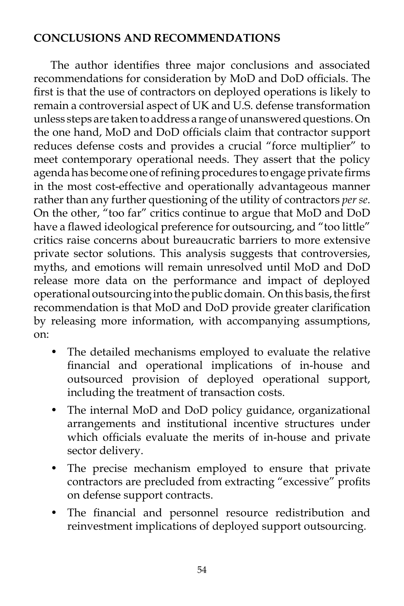## **CONCLUSIONS AND RECOMMENDATIONS**

 The author identifies three major conclusions and associated recommendations for consideration by MoD and DoD officials. The first is that the use of contractors on deployed operations is likely to remain a controversial aspect of UK and U.S. defense transformation unless steps are taken to address a range of unanswered questions. On the one hand, MoD and DoD officials claim that contractor support reduces defense costs and provides a crucial "force multiplier" to meet contemporary operational needs. They assert that the policy agenda has become one of refining procedures to engage private firms in the most cost-effective and operationally advantageous manner rather than any further questioning of the utility of contractors *per se*. On the other, "too far" critics continue to argue that MoD and DoD have a flawed ideological preference for outsourcing, and "too little" critics raise concerns about bureaucratic barriers to more extensive private sector solutions. This analysis suggests that controversies, myths, and emotions will remain unresolved until MoD and DoD release more data on the performance and impact of deployed operational outsourcing into the public domain. On this basis, the first recommendation is that MoD and DoD provide greater clarification by releasing more information, with accompanying assumptions, on:

- The detailed mechanisms employed to evaluate the relative financial and operational implications of in-house and outsourced provision of deployed operational support, including the treatment of transaction costs.
- The internal MoD and DoD policy guidance, organizational arrangements and institutional incentive structures under which officials evaluate the merits of in-house and private sector delivery.
- The precise mechanism employed to ensure that private contractors are precluded from extracting "excessive" profits on defense support contracts.
- The financial and personnel resource redistribution and reinvestment implications of deployed support outsourcing.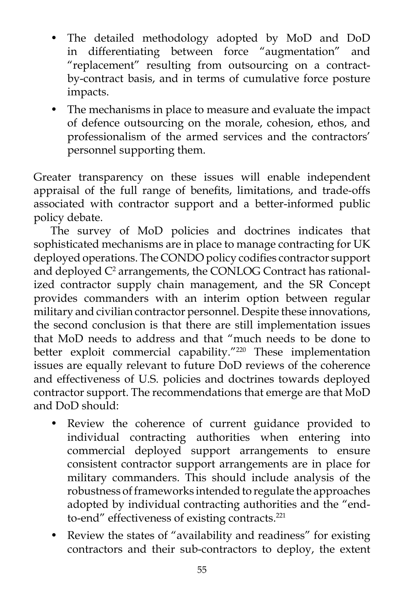- The detailed methodology adopted by MoD and DoD in differentiating between force "augmentation" and "replacement" resulting from outsourcing on a contractby-contract basis, and in terms of cumulative force posture impacts.
- The mechanisms in place to measure and evaluate the impact of defence outsourcing on the morale, cohesion, ethos, and professionalism of the armed services and the contractors' personnel supporting them.

Greater transparency on these issues will enable independent appraisal of the full range of benefits, limitations, and trade-offs associated with contractor support and a better-informed public policy debate.

 The survey of MoD policies and doctrines indicates that sophisticated mechanisms are in place to manage contracting for UK deployed operations. The CONDO policy codifies contractor support and deployed  $\mathrm{C}^\text{2}$  arrangements, the CONLOG Contract has rationalized contractor supply chain management, and the SR Concept provides commanders with an interim option between regular military and civilian contractor personnel. Despite these innovations, the second conclusion is that there are still implementation issues that MoD needs to address and that "much needs to be done to better exploit commercial capability."<sup>220</sup> These implementation issues are equally relevant to future DoD reviews of the coherence and effectiveness of U.S. policies and doctrines towards deployed contractor support. The recommendations that emerge are that MoD and DoD should:

- Review the coherence of current guidance provided to individual contracting authorities when entering into commercial deployed support arrangements to ensure consistent contractor support arrangements are in place for military commanders. This should include analysis of the robustness of frameworks intended to regulate the approaches adopted by individual contracting authorities and the "endto-end" effectiveness of existing contracts.<sup>221</sup>
- Review the states of "availability and readiness" for existing contractors and their sub-contractors to deploy, the extent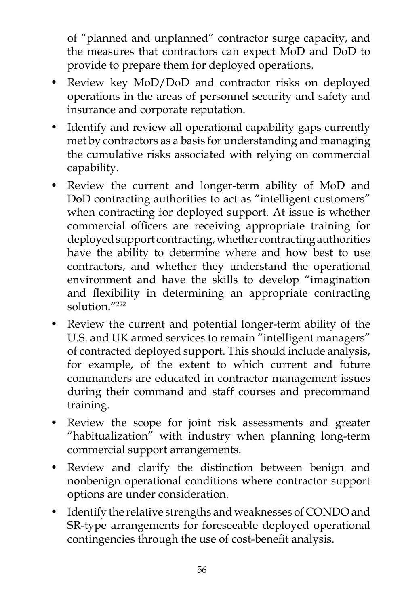of "planned and unplanned" contractor surge capacity, and the measures that contractors can expect MoD and DoD to provide to prepare them for deployed operations.

- Review key MoD/DoD and contractor risks on deployed operations in the areas of personnel security and safety and insurance and corporate reputation.
- Identify and review all operational capability gaps currently met by contractors as a basis for understanding and managing the cumulative risks associated with relying on commercial capability.
- Review the current and longer-term ability of MoD and DoD contracting authorities to act as "intelligent customers" when contracting for deployed support. At issue is whether commercial officers are receiving appropriate training for deployed support contracting, whether contracting authorities have the ability to determine where and how best to use contractors, and whether they understand the operational environment and have the skills to develop "imagination and flexibility in determining an appropriate contracting solution<sup>"222</sup>
- Review the current and potential longer-term ability of the U.S. and UK armed services to remain "intelligent managers" of contracted deployed support. This should include analysis, for example, of the extent to which current and future commanders are educated in contractor management issues during their command and staff courses and precommand training.
- Review the scope for joint risk assessments and greater "habitualization" with industry when planning long-term commercial support arrangements.
- Review and clarify the distinction between benign and nonbenign operational conditions where contractor support options are under consideration.
- Identify the relative strengths and weaknesses of CONDO and SR-type arrangements for foreseeable deployed operational contingencies through the use of cost-benefit analysis.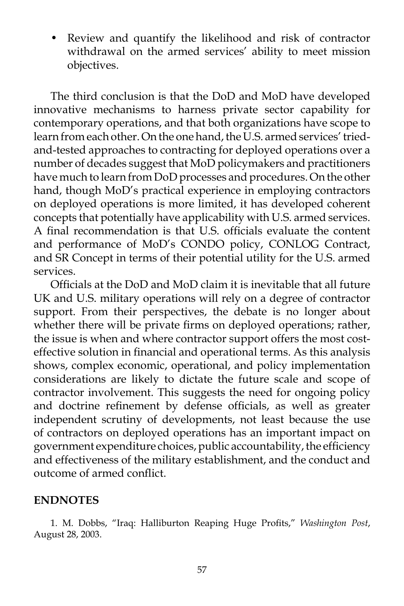• Review and quantify the likelihood and risk of contractor withdrawal on the armed services' ability to meet mission objectives.

 The third conclusion is that the DoD and MoD have developed innovative mechanisms to harness private sector capability for contemporary operations, and that both organizations have scope to learn from each other. On the one hand, the U.S. armed services' triedand-tested approaches to contracting for deployed operations over a number of decades suggest that MoD policymakers and practitioners have much to learn from DoD processes and procedures. On the other hand, though MoD's practical experience in employing contractors on deployed operations is more limited, it has developed coherent concepts that potentially have applicability with U.S. armed services. A final recommendation is that U.S. officials evaluate the content and performance of MoD's CONDO policy, CONLOG Contract, and SR Concept in terms of their potential utility for the U.S. armed services.

 Officials at the DoD and MoD claim it is inevitable that all future UK and U.S. military operations will rely on a degree of contractor support. From their perspectives, the debate is no longer about whether there will be private firms on deployed operations; rather, the issue is when and where contractor support offers the most costeffective solution in financial and operational terms. As this analysis shows, complex economic, operational, and policy implementation considerations are likely to dictate the future scale and scope of contractor involvement. This suggests the need for ongoing policy and doctrine refinement by defense officials, as well as greater independent scrutiny of developments, not least because the use of contractors on deployed operations has an important impact on government expenditure choices, public accountability, the efficiency and effectiveness of the military establishment, and the conduct and outcome of armed conflict.

#### **ENDNOTES**

 1. M. Dobbs, "Iraq: Halliburton Reaping Huge Profits," *Washington Post*, August 28, 2003.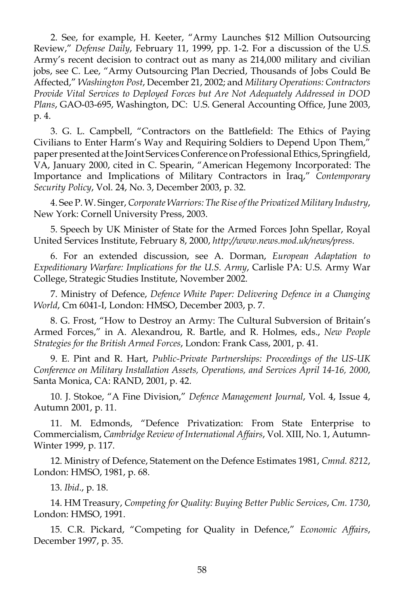2. See, for example, H. Keeter, "Army Launches \$12 Million Outsourcing Review," *Defense Daily*, February 11, 1999, pp. 1-2. For a discussion of the U.S. Army's recent decision to contract out as many as 214,000 military and civilian jobs, see C. Lee, "Army Outsourcing Plan Decried, Thousands of Jobs Could Be Affected," *Washington Post*, December 21, 2002; and *Military Operations: Contractors Provide Vital Services to Deployed Forces but Are Not Adequately Addressed in DOD Plans*, GAO-03-695, Washington, DC: U.S. General Accounting Office, June 2003, p. 4.

 3. G. L. Campbell, "Contractors on the Battlefield: The Ethics of Paying Civilians to Enter Harm's Way and Requiring Soldiers to Depend Upon Them," paper presented at the Joint Services Conference on Professional Ethics, Springfield, VA, January 2000, cited in C. Spearin, "American Hegemony Incorporated: The Importance and Implications of Military Contractors in Iraq," *Contemporary Security Policy*, Vol. 24, No. 3, December 2003, p. 32.

 4. See P. W. Singer, *Corporate Warriors: The Rise of the Privatized Military Industry*, New York: Cornell University Press, 2003.

 5. Speech by UK Minister of State for the Armed Forces John Spellar, Royal United Services Institute, February 8, 2000, *http://www.news.mod.uk/news/press*.

 6. For an extended discussion, see A. Dorman, *European Adaptation to Expeditionary Warfare: Implications for the U.S. Army*, Carlisle PA: U.S. Army War College, Strategic Studies Institute, November 2002.

 7. Ministry of Defence, *Defence White Paper: Delivering Defence in a Changing World*, Cm 6041-I, London: HMSO, December 2003, p. 7.

 8. G. Frost, "How to Destroy an Army: The Cultural Subversion of Britain's Armed Forces," in A. Alexandrou, R. Bartle, and R. Holmes, eds., *New People Strategies for the British Armed Forces*, London: Frank Cass, 2001, p. 41.

 9. E. Pint and R. Hart, *Public-Private Partnerships: Proceedings of the US-UK Conference on Military Installation Assets, Operations, and Services April 14-16, 2000*, Santa Monica, CA: RAND, 2001, p. 42.

 10. J. Stokoe, "A Fine Division," *Defence Management Journal*, Vol. 4, Issue 4, Autumn 2001, p. 11.

 11. M. Edmonds, "Defence Privatization: From State Enterprise to Commercialism, *Cambridge Review of International Affairs*, Vol. XIII, No. 1, Autumn-Winter 1999, p. 117.

 12. Ministry of Defence, Statement on the Defence Estimates 1981, *Cmnd. 8212*, London: HMSO, 1981, p. 68.

13. *Ibid*., p. 18.

 14. HM Treasury, *Competing for Quality: Buying Better Public Services*, *Cm. 1730*, London: HMSO, 1991.

 15. C.R. Pickard, "Competing for Quality in Defence," *Economic Affairs*, December 1997, p. 35.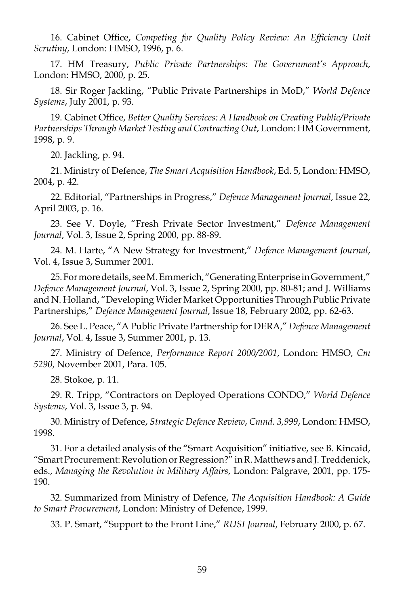16. Cabinet Office, *Competing for Quality Policy Review: An Efficiency Unit Scrutiny*, London: HMSO, 1996, p. 6.

 17. HM Treasury, *Public Private Partnerships: The Government's Approach*, London: HMSO, 2000, p. 25.

 18. Sir Roger Jackling, "Public Private Partnerships in MoD," *World Defence Systems*, July 2001, p. 93.

 19. Cabinet Office, *Better Quality Services: A Handbook on Creating Public/Private Partnerships Through Market Testing and Contracting Out*, London: HM Government, 1998, p. 9.

20. Jackling, p. 94.

 21. Ministry of Defence, *The Smart Acquisition Handbook*, Ed. 5, London: HMSO, 2004, p. 42.

 22. Editorial, "Partnerships in Progress," *Defence Management Journal*, Issue 22, April 2003, p. 16.

 23. See V. Doyle, "Fresh Private Sector Investment," *Defence Management Journal*, Vol. 3, Issue 2, Spring 2000, pp. 88-89.

 24. M. Harte, "A New Strategy for Investment," *Defence Management Journal*, Vol. 4, Issue 3, Summer 2001.

 25. For more details, see M. Emmerich, "Generating Enterprise in Government," *Defence Management Journal*, Vol. 3, Issue 2, Spring 2000, pp. 80-81; and J. Williams and N. Holland, "Developing Wider Market Opportunities Through Public Private Partnerships," *Defence Management Journal*, Issue 18, February 2002, pp. 62-63.

 26. See L. Peace, "A Public Private Partnership for DERA," *Defence Management Journal*, Vol. 4, Issue 3, Summer 2001, p. 13.

 27. Ministry of Defence, *Performance Report 2000/2001*, London: HMSO, *Cm 5290*, November 2001, Para. 105.

28. Stokoe, p. 11.

 29. R. Tripp, "Contractors on Deployed Operations CONDO," *World Defence Systems*, Vol. 3, Issue 3, p. 94.

 30. Ministry of Defence, *Strategic Defence Review*, *Cmnd. 3,999*, London: HMSO, 1998.

 31. For a detailed analysis of the "Smart Acquisition" initiative, see B. Kincaid, "Smart Procurement: Revolution or Regression?" in R. Matthews and J. Treddenick, eds., *Managing the Revolution in Military Affairs*, London: Palgrave, 2001, pp. 175- 190.

 32. Summarized from Ministry of Defence, *The Acquisition Handbook: A Guide to Smart Procurement*, London: Ministry of Defence, 1999.

33. P. Smart, "Support to the Front Line," *RUSI Journal*, February 2000, p. 67.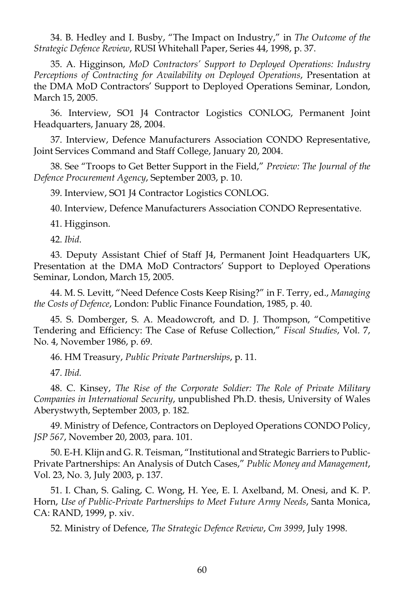34. B. Hedley and I. Busby, "The Impact on Industry," in *The Outcome of the Strategic Defence Review*, RUSI Whitehall Paper, Series 44, 1998, p. 37.

 35. A. Higginson, *MoD Contractors' Support to Deployed Operations: Industry Perceptions of Contracting for Availability on Deployed Operations*, Presentation at the DMA MoD Contractors' Support to Deployed Operations Seminar, London, March 15, 2005.

 36. Interview, SO1 J4 Contractor Logistics CONLOG, Permanent Joint Headquarters, January 28, 2004.

 37. Interview, Defence Manufacturers Association CONDO Representative, Joint Services Command and Staff College, January 20, 2004.

 38. See "Troops to Get Better Support in the Field," *Preview: The Journal of the Defence Procurement Agency*, September 2003, p. 10.

39. Interview, SO1 J4 Contractor Logistics CONLOG.

40. Interview, Defence Manufacturers Association CONDO Representative.

41. Higginson.

42. *Ibid*.

 43. Deputy Assistant Chief of Staff J4, Permanent Joint Headquarters UK, Presentation at the DMA MoD Contractors' Support to Deployed Operations Seminar, London, March 15, 2005.

 44. M. S. Levitt, "Need Defence Costs Keep Rising?" in F. Terry, ed., *Managing the Costs of Defence*, London: Public Finance Foundation, 1985, p. 40.

 45. S. Domberger, S. A. Meadowcroft, and D. J. Thompson, "Competitive Tendering and Efficiency: The Case of Refuse Collection," *Fiscal Studies*, Vol. 7, No. 4, November 1986, p. 69.

46. HM Treasury, *Public Private Partnerships*, p. 11.

47. *Ibid.*

 48. C. Kinsey, *The Rise of the Corporate Soldier: The Role of Private Military Companies in International Security*, unpublished Ph.D. thesis, University of Wales Aberystwyth, September 2003, p. 182.

 49. Ministry of Defence, Contractors on Deployed Operations CONDO Policy, *JSP 567*, November 20, 2003, para. 101.

 50. E-H. Klijn and G. R. Teisman, "Institutional and Strategic Barriers to Public-Private Partnerships: An Analysis of Dutch Cases," *Public Money and Management*, Vol. 23, No. 3, July 2003, p. 137.

 51. I. Chan, S. Galing, C. Wong, H. Yee, E. I. Axelband, M. Onesi, and K. P. Horn, *Use of Public-Private Partnerships to Meet Future Army Needs*, Santa Monica, CA: RAND, 1999, p. xiv.

52. Ministry of Defence, *The Strategic Defence Review*, *Cm 3999*, July 1998.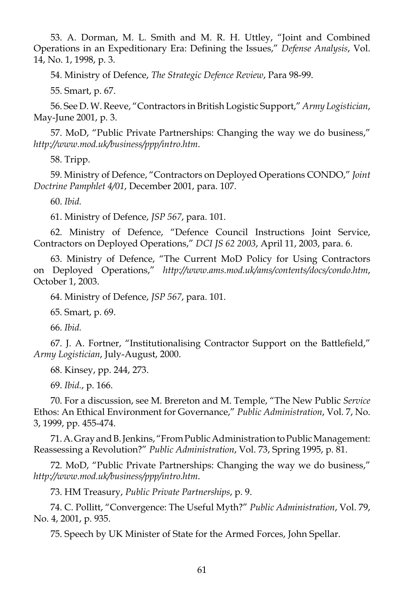53. A. Dorman, M. L. Smith and M. R. H. Uttley, "Joint and Combined Operations in an Expeditionary Era: Defining the Issues," *Defense Analysis*, Vol. 14, No. 1, 1998, p. 3.

54. Ministry of Defence, *The Strategic Defence Review*, Para 98-99.

55. Smart, p. 67.

 56. See D. W. Reeve, "Contractors in British Logistic Support," *Army Logistician*, May-June 2001, p. 3.

 57. MoD, "Public Private Partnerships: Changing the way we do business," *http://www.mod.uk/business/ppp/intro.htm*.

58. Tripp.

 59. Ministry of Defence, "Contractors on Deployed Operations CONDO," *Joint Doctrine Pamphlet 4/01*, December 2001, para. 107.

60. *Ibid.*

61. Ministry of Defence, *JSP 567*, para. 101.

 62. Ministry of Defence, "Defence Council Instructions Joint Service, Contractors on Deployed Operations," *DCI JS 62 2003*, April 11, 2003, para. 6.

 63. Ministry of Defence, "The Current MoD Policy for Using Contractors on Deployed Operations," *http://www.ams.mod.uk/ams/contents/docs/condo.htm*, October 1, 2003.

64. Ministry of Defence, *JSP 567*, para. 101.

65. Smart, p. 69.

66. *Ibid.*

 67. J. A. Fortner, "Institutionalising Contractor Support on the Battlefield," *Army Logistician*, July-August, 2000.

68. Kinsey, pp. 244, 273.

69. *Ibid.*, p. 166.

 70. For a discussion, see M. Brereton and M. Temple, "The New Public *Service* Ethos: An Ethical Environment for Governance," *Public Administration*, Vol. 7, No. 3, 1999, pp. 455-474.

 71. A. Gray and B. Jenkins, "From Public Administration to Public Management: Reassessing a Revolution?" *Public Administration*, Vol. 73, Spring 1995, p. 81.

 72. MoD, "Public Private Partnerships: Changing the way we do business," *http://www.mod.uk/business/ppp/intro.htm*.

73. HM Treasury, *Public Private Partnerships*, p. 9.

 74. C. Pollitt, "Convergence: The Useful Myth?" *Public Administration*, Vol. 79, No. 4, 2001, p. 935.

75. Speech by UK Minister of State for the Armed Forces, John Spellar.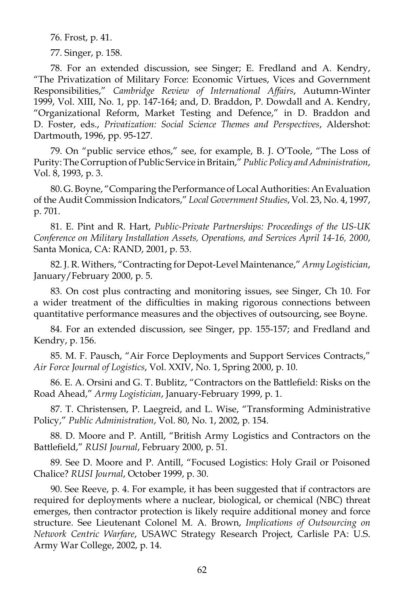76. Frost, p. 41.

77. Singer, p. 158.

 78. For an extended discussion, see Singer; E. Fredland and A. Kendry, "The Privatization of Military Force: Economic Virtues, Vices and Government Responsibilities," *Cambridge Review of International Affairs*, Autumn-Winter 1999, Vol. XIII, No. 1, pp. 147-164; and, D. Braddon, P. Dowdall and A. Kendry, "Organizational Reform, Market Testing and Defence," in D. Braddon and D. Foster, eds., *Privatization: Social Science Themes and Perspectives*, Aldershot: Dartmouth, 1996, pp. 95-127.

 79. On "public service ethos," see, for example, B. J. O'Toole, "The Loss of Purity: The Corruption of Public Service in Britain," *Public Policy and Administration*, Vol. 8, 1993, p. 3.

 80. G. Boyne, "Comparing the Performance of Local Authorities: An Evaluation of the Audit Commission Indicators," *Local Government Studies*, Vol. 23, No. 4, 1997, p. 701.

 81. E. Pint and R. Hart, *Public-Private Partnerships: Proceedings of the US-UK Conference on Military Installation Assets, Operations, and Services April 14-16, 2000*, Santa Monica, CA: RAND, 2001, p. 53.

 82. J. R. Withers, "Contracting for Depot-Level Maintenance," *Army Logistician*, January/February 2000, p. 5.

 83. On cost plus contracting and monitoring issues, see Singer, Ch 10. For a wider treatment of the difficulties in making rigorous connections between quantitative performance measures and the objectives of outsourcing, see Boyne.

 84. For an extended discussion, see Singer, pp. 155-157; and Fredland and Kendry, p. 156.

 85. M. F. Pausch, "Air Force Deployments and Support Services Contracts," *Air Force Journal of Logistics*, Vol. XXIV, No. 1, Spring 2000, p. 10.

 86. E. A. Orsini and G. T. Bublitz, "Contractors on the Battlefield: Risks on the Road Ahead," *Army Logistician*, January-February 1999, p. 1.

 87. T. Christensen, P. Laegreid, and L. Wise, "Transforming Administrative Policy," *Public Administration*, Vol. 80, No. 1, 2002, p. 154.

 88. D. Moore and P. Antill, "British Army Logistics and Contractors on the Battlefield," *RUSI Journal*, February 2000, p. 51.

 89. See D. Moore and P. Antill, "Focused Logistics: Holy Grail or Poisoned Chalice? *RUSI Journal*, October 1999, p. 30.

 90. See Reeve, p. 4. For example, it has been suggested that if contractors are required for deployments where a nuclear, biological, or chemical (NBC) threat emerges, then contractor protection is likely require additional money and force structure. See Lieutenant Colonel M. A. Brown, *Implications of Outsourcing on Network Centric Warfare*, USAWC Strategy Research Project, Carlisle PA: U.S. Army War College, 2002, p. 14.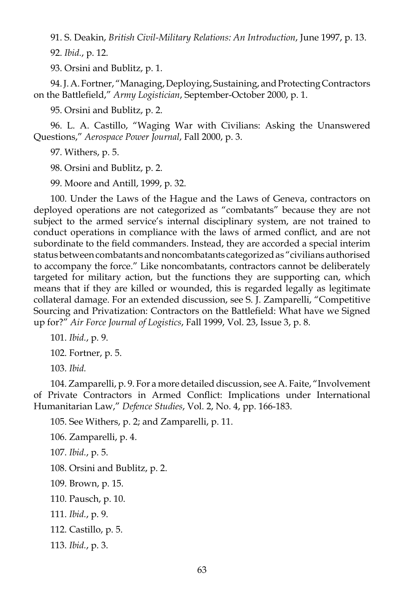91. S. Deakin, *British Civil-Military Relations: An Introduction*, June 1997, p. 13.

92. *Ibid.*, p. 12.

93. Orsini and Bublitz, p. 1.

 94. J. A. Fortner, "Managing, Deploying, Sustaining, and Protecting Contractors on the Battlefield," *Army Logistician*, September-October 2000, p. 1.

95. Orsini and Bublitz, p. 2.

 96. L. A. Castillo, "Waging War with Civilians: Asking the Unanswered Questions," *Aerospace Power Journal*, Fall 2000, p. 3.

97. Withers, p. 5.

98. Orsini and Bublitz, p. 2.

99. Moore and Antill, 1999, p. 32.

 100. Under the Laws of the Hague and the Laws of Geneva, contractors on deployed operations are not categorized as "combatants" because they are not subject to the armed service's internal disciplinary system, are not trained to conduct operations in compliance with the laws of armed conflict, and are not subordinate to the field commanders. Instead, they are accorded a special interim status between combatants and noncombatants categorized as "civilians authorised to accompany the force." Like noncombatants, contractors cannot be deliberately targeted for military action, but the functions they are supporting can, which means that if they are killed or wounded, this is regarded legally as legitimate collateral damage. For an extended discussion, see S. J. Zamparelli, "Competitive Sourcing and Privatization: Contractors on the Battlefield: What have we Signed up for?" *Air Force Journal of Logistics*, Fall 1999, Vol. 23, Issue 3, p. 8.

101. *Ibid.*, p. 9.

102. Fortner, p. 5.

103. *Ibid.*

 104. Zamparelli, p. 9. For a more detailed discussion, see A. Faite, "Involvement of Private Contractors in Armed Conflict: Implications under International Humanitarian Law," *Defence Studies*, Vol. 2, No. 4, pp. 166-183.

105. See Withers, p. 2; and Zamparelli, p. 11.

106. Zamparelli, p. 4.

107. *Ibid.*, p. 5.

108. Orsini and Bublitz, p. 2.

109. Brown, p. 15.

110. Pausch, p. 10.

111. *Ibid.*, p. 9.

112. Castillo, p. 5.

113. *Ibid.*, p. 3.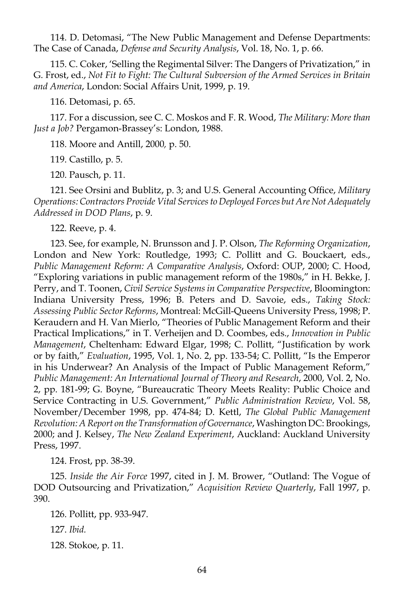114. D. Detomasi, "The New Public Management and Defense Departments: The Case of Canada, *Defense and Security Analysis*, Vol. 18, No. 1, p. 66.

 115. C. Coker, 'Selling the Regimental Silver: The Dangers of Privatization," in G. Frost, ed., *Not Fit to Fight: The Cultural Subversion of the Armed Services in Britain and America*, London: Social Affairs Unit, 1999, p. 19.

116. Detomasi, p. 65.

 117. For a discussion, see C. C. Moskos and F. R. Wood, *The Military: More than Just a Job?* Pergamon-Brassey's: London, 1988.

118. Moore and Antill, 2000*,* p. 50.

119. Castillo, p. 5.

120. Pausch, p. 11.

 121. See Orsini and Bublitz, p. 3; and U.S. General Accounting Office, *Military Operations: Contractors Provide Vital Services to Deployed Forces but Are Not Adequately Addressed in DOD Plans*, p. 9.

122. Reeve, p. 4.

 123. See, for example, N. Brunsson and J. P. Olson, *The Reforming Organization*, London and New York: Routledge, 1993; C. Pollitt and G. Bouckaert, eds., *Public Management Reform: A Comparative Analysis*, Oxford: OUP, 2000; C. Hood, "Exploring variations in public management reform of the 1980s," in H. Bekke, J. Perry, and T. Toonen, *Civil Service Systems in Comparative Perspective*, Bloomington: Indiana University Press, 1996; B. Peters and D. Savoie, eds., *Taking Stock: Assessing Public Sector Reforms*, Montreal: McGill-Queens University Press, 1998; P. Keraudern and H. Van Mierlo, "Theories of Public Management Reform and their Practical Implications," in T. Verheijen and D. Coombes, eds., *Innovation in Public Management*, Cheltenham: Edward Elgar, 1998; C. Pollitt, "Justification by work or by faith," *Evaluation*, 1995, Vol. 1, No. 2, pp. 133-54; C. Pollitt, "Is the Emperor in his Underwear? An Analysis of the Impact of Public Management Reform," *Public Management: An International Journal of Theory and Research*, 2000, Vol. 2, No. 2, pp. 181-99; G. Boyne, "Bureaucratic Theory Meets Reality: Public Choice and Service Contracting in U.S. Government," *Public Administration Review*, Vol. 58, November/December 1998, pp. 474-84; D. Kettl, *The Global Public Management Revolution: A Report on the Transformation of Governance*, Washington DC: Brookings, 2000; and J. Kelsey, *The New Zealand Experiment*, Auckland: Auckland University Press, 1997.

124. Frost, pp. 38-39.

 125. *Inside the Air Force* 1997, cited in J. M. Brower, "Outland: The Vogue of DOD Outsourcing and Privatization," *Acquisition Review Quarterly*, Fall 1997, p. 390.

 126. Pollitt, pp. 933-947. 127. *Ibid.* 128. Stokoe, p. 11.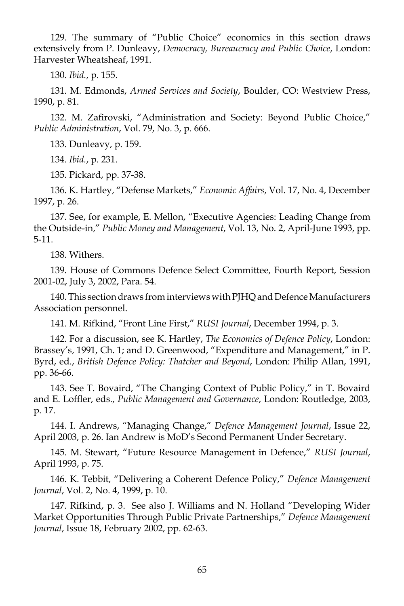129. The summary of "Public Choice" economics in this section draws extensively from P. Dunleavy, *Democracy, Bureaucracy and Public Choice*, London: Harvester Wheatsheaf, 1991.

130. *Ibid.*, p. 155.

 131. M. Edmonds, *Armed Services and Society*, Boulder, CO: Westview Press, 1990, p. 81.

 132. M. Zafirovski, "Administration and Society: Beyond Public Choice," *Public Administration*, Vol. 79, No. 3, p. 666.

133. Dunleavy, p. 159.

134. *Ibid.*, p. 231.

135. Pickard, pp. 37-38.

 136. K. Hartley, "Defense Markets," *Economic Affairs*, Vol. 17, No. 4, December 1997, p. 26.

 137. See, for example, E. Mellon, "Executive Agencies: Leading Change from the Outside-in," *Public Money and Management*, Vol. 13, No. 2, April-June 1993, pp. 5-11.

138. Withers.

 139. House of Commons Defence Select Committee, Fourth Report, Session 2001-02, July 3, 2002, Para. 54.

 140. This section draws from interviews with PJHQ and Defence Manufacturers Association personnel.

141. M. Rifkind, "Front Line First," *RUSI Journal*, December 1994, p. 3.

 142. For a discussion, see K. Hartley, *The Economics of Defence Policy*, London: Brassey's, 1991, Ch. 1; and D. Greenwood, "Expenditure and Management," in P. Byrd, ed., *British Defence Policy: Thatcher and Beyond*, London: Philip Allan, 1991, pp. 36-66.

 143. See T. Bovaird, "The Changing Context of Public Policy," in T. Bovaird and E. Loffler, eds., *Public Management and Governance*, London: Routledge, 2003, p. 17.

 144. I. Andrews, "Managing Change," *Defence Management Journal*, Issue 22, April 2003, p. 26. Ian Andrew is MoD's Second Permanent Under Secretary.

 145. M. Stewart, "Future Resource Management in Defence," *RUSI Journal*, April 1993, p. 75.

 146. K. Tebbit, "Delivering a Coherent Defence Policy," *Defence Management Journal*, Vol. 2, No. 4, 1999, p. 10.

 147. Rifkind, p. 3. See also J. Williams and N. Holland "Developing Wider Market Opportunities Through Public Private Partnerships," *Defence Management Journal*, Issue 18, February 2002, pp. 62-63.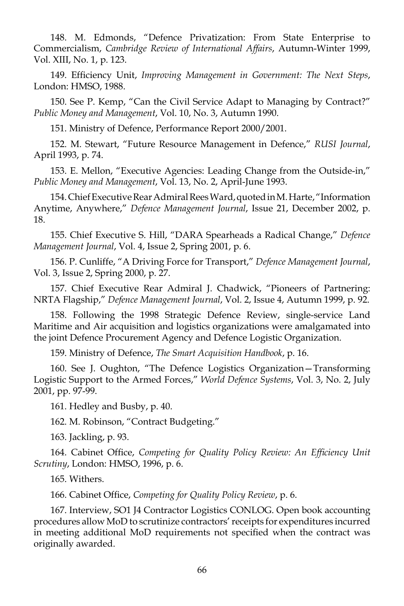148. M. Edmonds, "Defence Privatization: From State Enterprise to Commercialism, *Cambridge Review of International Affairs*, Autumn-Winter 1999, Vol. XIII, No. 1, p. 123.

 149. Efficiency Unit, *Improving Management in Government: The Next Steps*, London: HMSO, 1988.

 150. See P. Kemp, "Can the Civil Service Adapt to Managing by Contract?" *Public Money and Management*, Vol. 10, No. 3, Autumn 1990.

151. Ministry of Defence, Performance Report 2000/2001.

 152. M. Stewart, "Future Resource Management in Defence," *RUSI Journal*, April 1993, p. 74.

 153. E. Mellon, "Executive Agencies: Leading Change from the Outside-in," *Public Money and Management*, Vol. 13, No. 2, April-June 1993.

 154. Chief Executive Rear Admiral Rees Ward, quoted in M. Harte, "Information Anytime, Anywhere," *Defence Management Journal*, Issue 21, December 2002, p. 18.

 155. Chief Executive S. Hill, "DARA Spearheads a Radical Change," *Defence Management Journal*, Vol. 4, Issue 2, Spring 2001, p. 6.

 156. P. Cunliffe, "A Driving Force for Transport," *Defence Management Journal*, Vol. 3, Issue 2, Spring 2000, p. 27.

 157. Chief Executive Rear Admiral J. Chadwick, "Pioneers of Partnering: NRTA Flagship," *Defence Management Journal*, Vol. 2, Issue 4, Autumn 1999, p. 92.

 158. Following the 1998 Strategic Defence Review, single-service Land Maritime and Air acquisition and logistics organizations were amalgamated into the joint Defence Procurement Agency and Defence Logistic Organization.

159. Ministry of Defence, *The Smart Acquisition Handbook*, p. 16.

 160. See J. Oughton, "The Defence Logistics Organization—Transforming Logistic Support to the Armed Forces," *World Defence Systems*, Vol. 3, No. 2, July 2001, pp. 97-99.

161. Hedley and Busby, p. 40.

162. M. Robinson, "Contract Budgeting."

163. Jackling, p. 93.

 164. Cabinet Office, *Competing for Quality Policy Review: An Efficiency Unit Scrutiny*, London: HMSO, 1996, p. 6.

165. Withers.

166. Cabinet Office, *Competing for Quality Policy Review*, p. 6.

 167. Interview, SO1 J4 Contractor Logistics CONLOG. Open book accounting procedures allow MoD to scrutinize contractors' receipts for expenditures incurred in meeting additional MoD requirements not specified when the contract was originally awarded.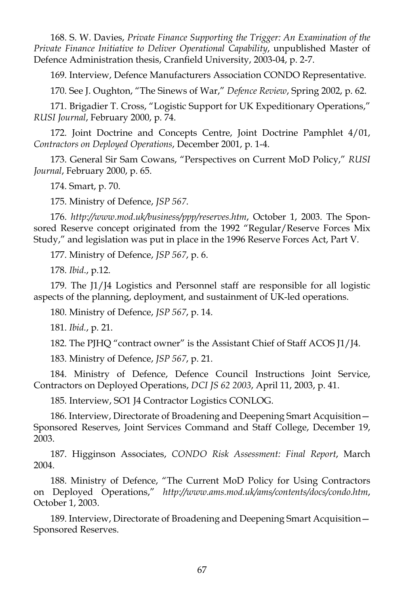168. S. W. Davies, *Private Finance Supporting the Trigger: An Examination of the Private Finance Initiative to Deliver Operational Capability*, unpublished Master of Defence Administration thesis, Cranfield University, 2003-04, p. 2-7.

169. Interview, Defence Manufacturers Association CONDO Representative.

170. See J. Oughton, "The Sinews of War," *Defence Review*, Spring 2002, p. 62.

 171. Brigadier T. Cross, "Logistic Support for UK Expeditionary Operations," *RUSI Journal*, February 2000, p. 74.

 172. Joint Doctrine and Concepts Centre, Joint Doctrine Pamphlet 4/01, *Contractors on Deployed Operations*, December 2001, p. 1-4.

 173. General Sir Sam Cowans, "Perspectives on Current MoD Policy," *RUSI Journal*, February 2000, p. 65.

174. Smart, p. 70.

175. Ministry of Defence, *JSP 567*.

 176. *http://www.mod.uk/business/ppp/reserves.htm*, October 1, 2003. The Sponsored Reserve concept originated from the 1992 "Regular/Reserve Forces Mix Study," and legislation was put in place in the 1996 Reserve Forces Act, Part V.

177. Ministry of Defence, *JSP 567*, p. 6.

178. *Ibid*., p.12.

 179. The J1/J4 Logistics and Personnel staff are responsible for all logistic aspects of the planning, deployment, and sustainment of UK-led operations.

180. Ministry of Defence, *JSP 567*, p. 14.

181. *Ibid.*, p. 21.

182. The PJHQ "contract owner" is the Assistant Chief of Staff ACOS J1/J4.

183. Ministry of Defence, *JSP 567*, p. 21.

 184. Ministry of Defence, Defence Council Instructions Joint Service, Contractors on Deployed Operations, *DCI JS 62 2003*, April 11, 2003, p. 41.

185. Interview, SO1 J4 Contractor Logistics CONLOG.

 186. Interview, Directorate of Broadening and Deepening Smart Acquisition— Sponsored Reserves, Joint Services Command and Staff College, December 19, 2003.

 187. Higginson Associates, *CONDO Risk Assessment: Final Report*, March 2004.

 188. Ministry of Defence, "The Current MoD Policy for Using Contractors on Deployed Operations," *http://www.ams.mod.uk/ams/contents/docs/condo.htm*, October 1, 2003.

 189. Interview, Directorate of Broadening and Deepening Smart Acquisition— Sponsored Reserves.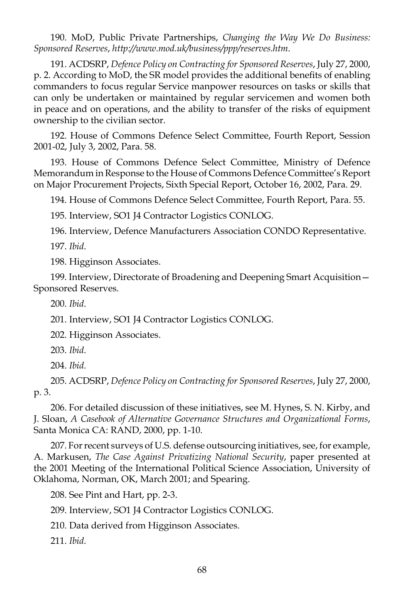190. MoD, Public Private Partnerships, *Changing the Way We Do Business: Sponsored Reserves*, *http://www.mod.uk/business/ppp/reserves.htm*.

 191. ACDSRP, *Defence Policy on Contracting for Sponsored Reserves*, July 27, 2000, p. 2. According to MoD, the SR model provides the additional benefits of enabling commanders to focus regular Service manpower resources on tasks or skills that can only be undertaken or maintained by regular servicemen and women both in peace and on operations, and the ability to transfer of the risks of equipment ownership to the civilian sector.

 192. House of Commons Defence Select Committee, Fourth Report, Session 2001-02, July 3, 2002, Para. 58.

 193. House of Commons Defence Select Committee, Ministry of Defence Memorandum in Response to the House of Commons Defence Committee's Report on Major Procurement Projects, Sixth Special Report, October 16, 2002, Para. 29.

194. House of Commons Defence Select Committee, Fourth Report, Para. 55.

195. Interview, SO1 J4 Contractor Logistics CONLOG.

196. Interview, Defence Manufacturers Association CONDO Representative.

197. *Ibid*.

198. Higginson Associates.

 199. Interview, Directorate of Broadening and Deepening Smart Acquisition— Sponsored Reserves.

200. *Ibid*.

201. Interview, SO1 J4 Contractor Logistics CONLOG.

202. Higginson Associates.

203. *Ibid*.

204. *Ibid*.

 205. ACDSRP, *Defence Policy on Contracting for Sponsored Reserves*, July 27, 2000, p. 3.

 206. For detailed discussion of these initiatives, see M. Hynes, S. N. Kirby, and J. Sloan, *A Casebook of Alternative Governance Structures and Organizational Forms*, Santa Monica CA: RAND, 2000, pp. 1-10.

 207. For recent surveys of U.S. defense outsourcing initiatives, see, for example, A. Markusen, *The Case Against Privatizing National Security*, paper presented at the 2001 Meeting of the International Political Science Association, University of Oklahoma, Norman, OK, March 2001; and Spearing.

208. See Pint and Hart, pp. 2-3.

209. Interview, SO1 J4 Contractor Logistics CONLOG.

210. Data derived from Higginson Associates.

211. *Ibid*.